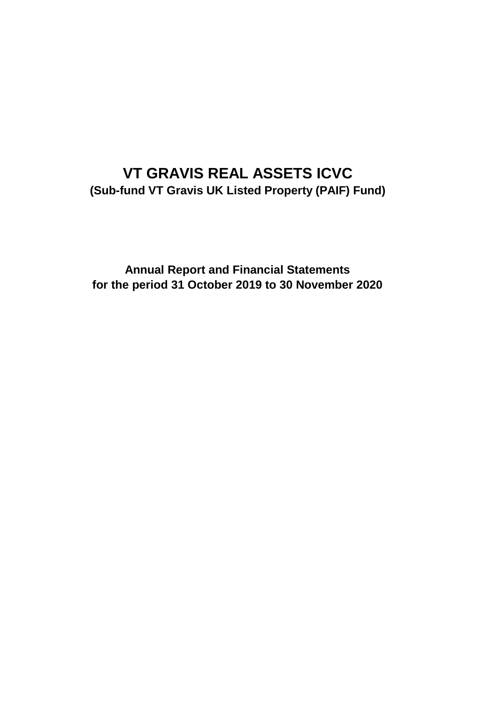# **VT GRAVIS REAL ASSETS ICVC (Sub-fund VT Gravis UK Listed Property (PAIF) Fund)**

**Annual Report and Financial Statements for the period 31 October 2019 to 30 November 2020**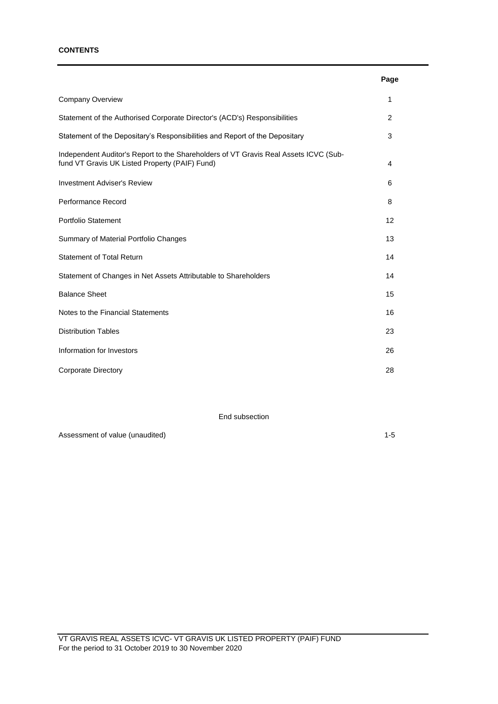# **CONTENTS**

|                                                                                                                                        | Page |
|----------------------------------------------------------------------------------------------------------------------------------------|------|
| Company Overview                                                                                                                       | 1    |
| Statement of the Authorised Corporate Director's (ACD's) Responsibilities                                                              | 2    |
| Statement of the Depositary's Responsibilities and Report of the Depositary                                                            | 3    |
| Independent Auditor's Report to the Shareholders of VT Gravis Real Assets ICVC (Sub-<br>fund VT Gravis UK Listed Property (PAIF) Fund) | 4    |
| <b>Investment Adviser's Review</b>                                                                                                     | 6    |
| <b>Performance Record</b>                                                                                                              | 8    |
| <b>Portfolio Statement</b>                                                                                                             | 12   |
| Summary of Material Portfolio Changes                                                                                                  | 13   |
| <b>Statement of Total Return</b>                                                                                                       | 14   |
| Statement of Changes in Net Assets Attributable to Shareholders                                                                        | 14   |
| <b>Balance Sheet</b>                                                                                                                   | 15   |
| Notes to the Financial Statements                                                                                                      | 16   |
| <b>Distribution Tables</b>                                                                                                             | 23   |
| Information for Investors                                                                                                              | 26   |
| <b>Corporate Directory</b>                                                                                                             | 28   |

End subsection

Assessment of value (unaudited) 1-5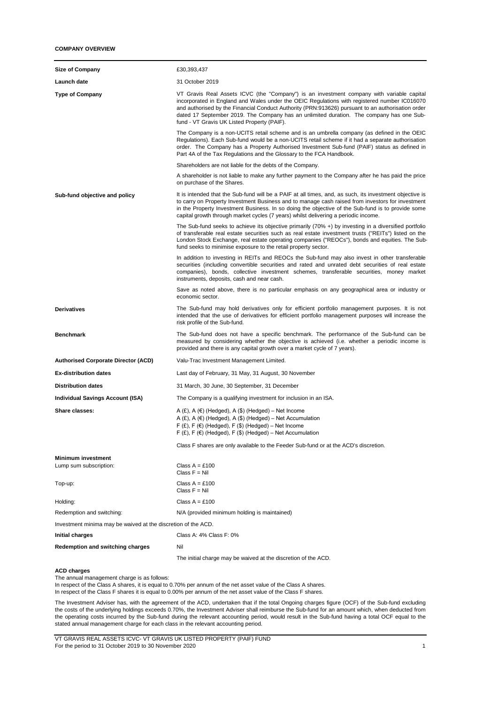#### **COMPANY OVERVIEW**

| <b>Size of Company</b>                                        | £30,393,437                                                                                                                                                                                                                                                                                                                                                                                                                               |
|---------------------------------------------------------------|-------------------------------------------------------------------------------------------------------------------------------------------------------------------------------------------------------------------------------------------------------------------------------------------------------------------------------------------------------------------------------------------------------------------------------------------|
| Launch date                                                   | 31 October 2019                                                                                                                                                                                                                                                                                                                                                                                                                           |
| <b>Type of Company</b>                                        | VT Gravis Real Assets ICVC (the "Company") is an investment company with variable capital<br>incorporated in England and Wales under the OEIC Regulations with registered number IC016070<br>and authorised by the Financial Conduct Authority (PRN:913626) pursuant to an authorisation order<br>dated 17 September 2019. The Company has an unlimited duration. The company has one Sub-<br>fund - VT Gravis UK Listed Property (PAIF). |
|                                                               | The Company is a non-UCITS retail scheme and is an umbrella company (as defined in the OEIC<br>Regulations). Each Sub-fund would be a non-UCITS retail scheme if it had a separate authorisation<br>order. The Company has a Property Authorised Investment Sub-fund (PAIF) status as defined in<br>Part 4A of the Tax Regulations and the Glossary to the FCA Handbook.                                                                  |
|                                                               | Shareholders are not liable for the debts of the Company.                                                                                                                                                                                                                                                                                                                                                                                 |
|                                                               | A shareholder is not liable to make any further payment to the Company after he has paid the price<br>on purchase of the Shares.                                                                                                                                                                                                                                                                                                          |
| Sub-fund objective and policy                                 | It is intended that the Sub-fund will be a PAIF at all times, and, as such, its investment objective is<br>to carry on Property Investment Business and to manage cash raised from investors for investment<br>in the Property Investment Business. In so doing the objective of the Sub-fund is to provide some<br>capital growth through market cycles (7 years) whilst delivering a periodic income.                                   |
|                                                               | The Sub-fund seeks to achieve its objective primarily (70% +) by investing in a diversified portfolio<br>of transferable real estate securities such as real estate investment trusts ("REITs") listed on the<br>London Stock Exchange, real estate operating companies ("REOCs"), bonds and equities. The Sub-<br>fund seeks to minimise exposure to the retail property sector.                                                         |
|                                                               | In addition to investing in REITs and REOCs the Sub-fund may also invest in other transferable<br>securities (including convertible securities and rated and unrated debt securities of real estate<br>companies), bonds, collective investment schemes, transferable securities, money market<br>instruments, deposits, cash and near cash.                                                                                              |
|                                                               | Save as noted above, there is no particular emphasis on any geographical area or industry or<br>economic sector.                                                                                                                                                                                                                                                                                                                          |
| Derivatives                                                   | The Sub-fund may hold derivatives only for efficient portfolio management purposes. It is not<br>intended that the use of derivatives for efficient portfolio management purposes will increase the<br>risk profile of the Sub-fund.                                                                                                                                                                                                      |
| <b>Benchmark</b>                                              | The Sub-fund does not have a specific benchmark. The performance of the Sub-fund can be<br>measured by considering whether the objective is achieved (i.e. whether a periodic income is<br>provided and there is any capital growth over a market cycle of 7 years).                                                                                                                                                                      |
| <b>Authorised Corporate Director (ACD)</b>                    | Valu-Trac Investment Management Limited.                                                                                                                                                                                                                                                                                                                                                                                                  |
| <b>Ex-distribution dates</b>                                  | Last day of February, 31 May, 31 August, 30 November                                                                                                                                                                                                                                                                                                                                                                                      |
| <b>Distribution dates</b>                                     | 31 March, 30 June, 30 September, 31 December                                                                                                                                                                                                                                                                                                                                                                                              |
| <b>Individual Savings Account (ISA)</b>                       | The Company is a qualifying investment for inclusion in an ISA.                                                                                                                                                                                                                                                                                                                                                                           |
| <b>Share classes:</b>                                         | A $(E)$ , A $(\epsilon)$ (Hedged), A $(\$)$ (Hedged) – Net Income<br>A $(E)$ , A $(\epsilon)$ (Hedged), A $(\$)$ (Hedged) – Net Accumulation<br>$F(E), F(E)$ (Hedged), F (\$) (Hedged) – Net Income<br>F $(E)$ , F $(\in)$ (Hedged), F $(\$)$ (Hedged) – Net Accumulation                                                                                                                                                                 |
|                                                               | Class F shares are only available to the Feeder Sub-fund or at the ACD's discretion.                                                                                                                                                                                                                                                                                                                                                      |
| <b>Minimum investment</b><br>Lump sum subscription:           | Class $A = £100$<br>Class $F = Nil$                                                                                                                                                                                                                                                                                                                                                                                                       |
| Top-up:                                                       | Class $A = £100$<br>Class $F = Nil$                                                                                                                                                                                                                                                                                                                                                                                                       |
| Holding:                                                      | Class $A = £100$                                                                                                                                                                                                                                                                                                                                                                                                                          |
| Redemption and switching:                                     | N/A (provided minimum holding is maintained)                                                                                                                                                                                                                                                                                                                                                                                              |
| Investment minima may be waived at the discretion of the ACD. |                                                                                                                                                                                                                                                                                                                                                                                                                                           |
| Initial charges                                               | Class A: 4% Class F: 0%                                                                                                                                                                                                                                                                                                                                                                                                                   |
| <b>Redemption and switching charges</b>                       | Nil                                                                                                                                                                                                                                                                                                                                                                                                                                       |
|                                                               | The initial charge may be waived at the discretion of the ACD.                                                                                                                                                                                                                                                                                                                                                                            |

### **ACD charges**

The annual management charge is as follows:

In respect of the Class A shares, it is equal to 0.70% per annum of the net asset value of the Class A shares.

In respect of the Class F shares it is equal to 0.00% per annum of the net asset value of the Class F shares.

The Investment Adviser has, with the agreement of the ACD, undertaken that if the total Ongoing charges figure (OCF) of the Sub-fund excluding the costs of the underlying holdings exceeds 0.70%, the Investment Adviser shall reimburse the Sub-fund for an amount which, when deducted from the operating costs incurred by the Sub-fund during the relevant accounting period, would result in the Sub-fund having a total OCF equal to the stated annual management charge for each class in the relevant accounting period.

VT GRAVIS REAL ASSETS ICVC- VT GRAVIS UK LISTED PROPERTY (PAIF) FUND For the period to 31 October 2019 to 30 November 2020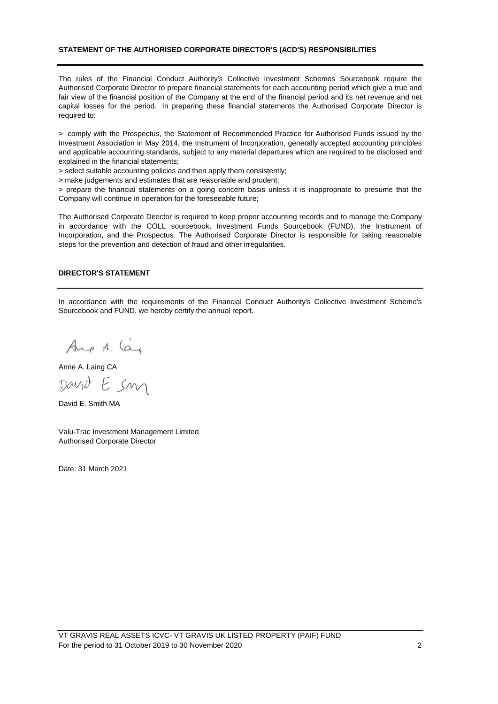### **STATEMENT OF THE AUTHORISED CORPORATE DIRECTOR'S (ACD'S) RESPONSIBILITIES**

The rules of the Financial Conduct Authority's Collective Investment Schemes Sourcebook require the Authorised Corporate Director to prepare financial statements for each accounting period which give a true and fair view of the financial position of the Company at the end of the financial period and its net revenue and net capital losses for the period. In preparing these financial statements the Authorised Corporate Director is required to:

> comply with the Prospectus, the Statement of Recommended Practice for Authorised Funds issued by the Investment Association in May 2014, the Instrument of Incorporation, generally accepted accounting principles and applicable accounting standards, subject to any material departures which are required to be disclosed and explained in the financial statements;

> select suitable accounting policies and then apply them consistently;

> make judgements and estimates that are reasonable and prudent;

> prepare the financial statements on a going concern basis unless it is inappropriate to presume that the Company will continue in operation for the foreseeable future;

The Authorised Corporate Director is required to keep proper accounting records and to manage the Company in accordance with the COLL sourcebook, Investment Funds Sourcebook (FUND), the Instrument of Incorporation, and the Prospectus. The Authorised Corporate Director is responsible for taking reasonable steps for the prevention and detection of fraud and other irregularities.

### **DIRECTOR'S STATEMENT**

In accordance with the requirements of the Financial Conduct Authority's Collective Investment Scheme's Sourcebook and FUND, we hereby certify the annual report.

Ane A. Lay

Anne A. Laing CA<br>Davy $\ell \in S$ 

David E. Smith MA

Valu-Trac Investment Management Limited Authorised Corporate Director

Date: 31 March 2021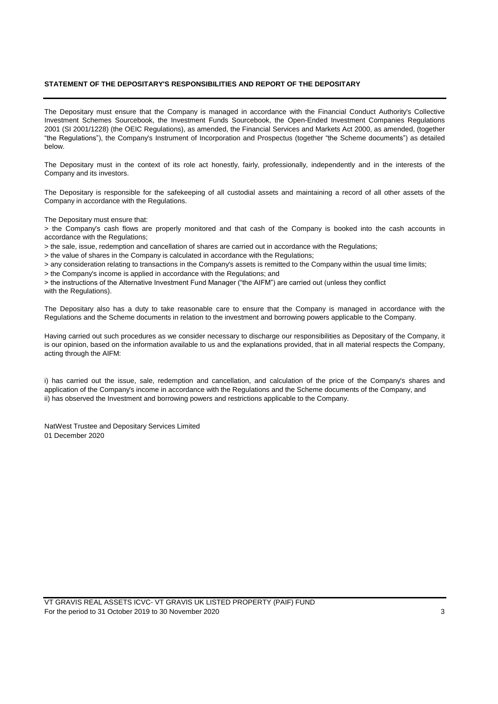### **STATEMENT OF THE DEPOSITARY'S RESPONSIBILITIES AND REPORT OF THE DEPOSITARY**

The Depositary must ensure that the Company is managed in accordance with the Financial Conduct Authority's Collective Investment Schemes Sourcebook, the Investment Funds Sourcebook, the Open-Ended Investment Companies Regulations 2001 (SI 2001/1228) (the OEIC Regulations), as amended, the Financial Services and Markets Act 2000, as amended, (together "the Regulations"), the Company's Instrument of Incorporation and Prospectus (together "the Scheme documents") as detailed below.

The Depositary must in the context of its role act honestly, fairly, professionally, independently and in the interests of the Company and its investors.

The Depositary is responsible for the safekeeping of all custodial assets and maintaining a record of all other assets of the Company in accordance with the Regulations.

The Depositary must ensure that:

> the Company's cash flows are properly monitored and that cash of the Company is booked into the cash accounts in accordance with the Regulations;

> the sale, issue, redemption and cancellation of shares are carried out in accordance with the Regulations;

> the value of shares in the Company is calculated in accordance with the Regulations;

> any consideration relating to transactions in the Company's assets is remitted to the Company within the usual time limits;

> the Company's income is applied in accordance with the Regulations; and

> the instructions of the Alternative Investment Fund Manager ("the AIFM") are carried out (unless they conflict with the Regulations).

The Depositary also has a duty to take reasonable care to ensure that the Company is managed in accordance with the Regulations and the Scheme documents in relation to the investment and borrowing powers applicable to the Company.

Having carried out such procedures as we consider necessary to discharge our responsibilities as Depositary of the Company, it is our opinion, based on the information available to us and the explanations provided, that in all material respects the Company, acting through the AIFM:

i) has carried out the issue, sale, redemption and cancellation, and calculation of the price of the Company's shares and application of the Company's income in accordance with the Regulations and the Scheme documents of the Company, and ii) has observed the Investment and borrowing powers and restrictions applicable to the Company.

NatWest Trustee and Depositary Services Limited 01 December 2020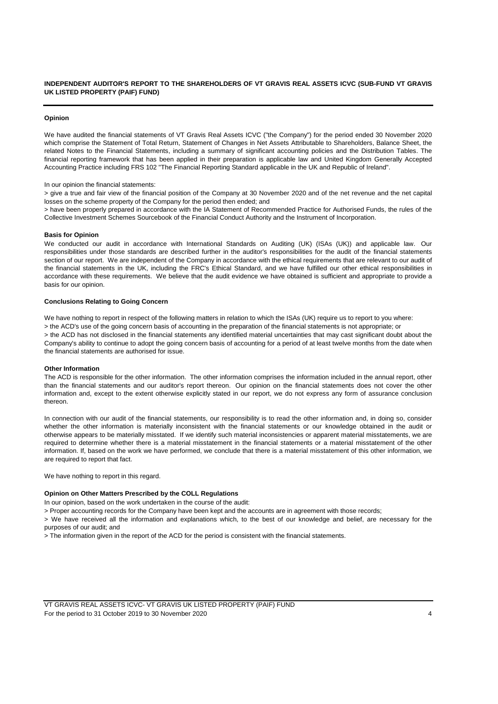### **INDEPENDENT AUDITOR'S REPORT TO THE SHAREHOLDERS OF VT GRAVIS REAL ASSETS ICVC (SUB-FUND VT GRAVIS UK LISTED PROPERTY (PAIF) FUND)**

### **Opinion**

We have audited the financial statements of VT Gravis Real Assets ICVC ("the Company") for the period ended 30 November 2020 which comprise the Statement of Total Return, Statement of Changes in Net Assets Attributable to Shareholders, Balance Sheet, the related Notes to the Financial Statements, including a summary of significant accounting policies and the Distribution Tables. The financial reporting framework that has been applied in their preparation is applicable law and United Kingdom Generally Accepted Accounting Practice including FRS 102 "The Financial Reporting Standard applicable in the UK and Republic of Ireland".

#### In our opinion the financial statements:

> give a true and fair view of the financial position of the Company at 30 November 2020 and of the net revenue and the net capital losses on the scheme property of the Company for the period then ended; and

> have been properly prepared in accordance with the IA Statement of Recommended Practice for Authorised Funds, the rules of the Collective Investment Schemes Sourcebook of the Financial Conduct Authority and the Instrument of Incorporation.

#### **Basis for Opinion**

We conducted our audit in accordance with International Standards on Auditing (UK) (ISAs (UK)) and applicable law. Our responsibilities under those standards are described further in the auditor's responsibilities for the audit of the financial statements section of our report. We are independent of the Company in accordance with the ethical requirements that are relevant to our audit of the financial statements in the UK, including the FRC's Ethical Standard, and we have fulfilled our other ethical responsibilities in accordance with these requirements. We believe that the audit evidence we have obtained is sufficient and appropriate to provide a basis for our opinion.

#### **Conclusions Relating to Going Concern**

We have nothing to report in respect of the following matters in relation to which the ISAs (UK) require us to report to you where: > the ACD's use of the going concern basis of accounting in the preparation of the financial statements is not appropriate; or > the ACD has not disclosed in the financial statements any identified material uncertainties that may cast significant doubt about the Company's ability to continue to adopt the going concern basis of accounting for a period of at least twelve months from the date when the financial statements are authorised for issue.

#### **Other Information**

The ACD is responsible for the other information. The other information comprises the information included in the annual report, other than the financial statements and our auditor's report thereon. Our opinion on the financial statements does not cover the other information and, except to the extent otherwise explicitly stated in our report, we do not express any form of assurance conclusion thereon.

In connection with our audit of the financial statements, our responsibility is to read the other information and, in doing so, consider whether the other information is materially inconsistent with the financial statements or our knowledge obtained in the audit or otherwise appears to be materially misstated. If we identify such material inconsistencies or apparent material misstatements, we are required to determine whether there is a material misstatement in the financial statements or a material misstatement of the other information. If, based on the work we have performed, we conclude that there is a material misstatement of this other information, we are required to report that fact.

We have nothing to report in this regard.

#### **Opinion on Other Matters Prescribed by the COLL Regulations**

In our opinion, based on the work undertaken in the course of the audit:

> Proper accounting records for the Company have been kept and the accounts are in agreement with those records;

> We have received all the information and explanations which, to the best of our knowledge and belief, are necessary for the purposes of our audit; and

> The information given in the report of the ACD for the period is consistent with the financial statements.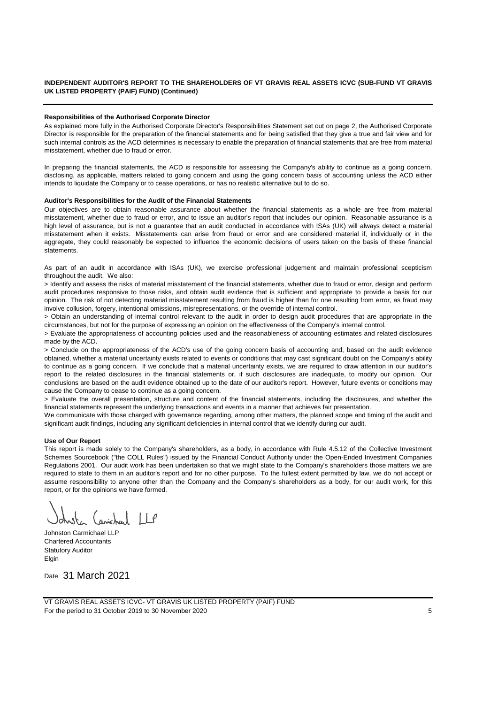### **INDEPENDENT AUDITOR'S REPORT TO THE SHAREHOLDERS OF VT GRAVIS REAL ASSETS ICVC (SUB-FUND VT GRAVIS UK LISTED PROPERTY (PAIF) FUND) (Continued)**

#### **Responsibilities of the Authorised Corporate Director**

As explained more fully in the Authorised Corporate Director's Responsibilities Statement set out on page 2, the Authorised Corporate Director is responsible for the preparation of the financial statements and for being satisfied that they give a true and fair view and for such internal controls as the ACD determines is necessary to enable the preparation of financial statements that are free from material misstatement, whether due to fraud or error.

In preparing the financial statements, the ACD is responsible for assessing the Company's ability to continue as a going concern, disclosing, as applicable, matters related to going concern and using the going concern basis of accounting unless the ACD either intends to liquidate the Company or to cease operations, or has no realistic alternative but to do so.

#### **Auditor's Responsibilities for the Audit of the Financial Statements**

Our objectives are to obtain reasonable assurance about whether the financial statements as a whole are free from material misstatement, whether due to fraud or error, and to issue an auditor's report that includes our opinion. Reasonable assurance is a high level of assurance, but is not a guarantee that an audit conducted in accordance with ISAs (UK) will always detect a material misstatement when it exists. Misstatements can arise from fraud or error and are considered material if, individually or in the aggregate, they could reasonably be expected to influence the economic decisions of users taken on the basis of these financial statements.

As part of an audit in accordance with ISAs (UK), we exercise professional judgement and maintain professional scepticism throughout the audit. We also:

> Identify and assess the risks of material misstatement of the financial statements, whether due to fraud or error, design and perform audit procedures responsive to those risks, and obtain audit evidence that is sufficient and appropriate to provide a basis for our opinion. The risk of not detecting material misstatement resulting from fraud is higher than for one resulting from error, as fraud may involve collusion, forgery, intentional omissions, misrepresentations, or the override of internal control.

> Obtain an understanding of internal control relevant to the audit in order to design audit procedures that are appropriate in the circumstances, but not for the purpose of expressing an opinion on the effectiveness of the Company's internal control.

> Evaluate the appropriateness of accounting policies used and the reasonableness of accounting estimates and related disclosures made by the ACD.

> Conclude on the appropriateness of the ACD's use of the going concern basis of accounting and, based on the audit evidence obtained, whether a material uncertainty exists related to events or conditions that may cast significant doubt on the Company's ability to continue as a going concern. If we conclude that a material uncertainty exists, we are required to draw attention in our auditor's report to the related disclosures in the financial statements or, if such disclosures are inadequate, to modify our opinion. Our conclusions are based on the audit evidence obtained up to the date of our auditor's report. However, future events or conditions may cause the Company to cease to continue as a going concern.

> Evaluate the overall presentation, structure and content of the financial statements, including the disclosures, and whether the financial statements represent the underlying transactions and events in a manner that achieves fair presentation.

We communicate with those charged with governance regarding, among other matters, the planned scope and timing of the audit and significant audit findings, including any significant deficiencies in internal control that we identify during our audit.

#### **Use of Our Report**

This report is made solely to the Company's shareholders, as a body, in accordance with Rule 4.5.12 of the Collective Investment Schemes Sourcebook ("the COLL Rules") issued by the Financial Conduct Authority under the Open-Ended Investment Companies Regulations 2001. Our audit work has been undertaken so that we might state to the Company's shareholders those matters we are required to state to them in an auditor's report and for no other purpose. To the fullest extent permitted by law, we do not accept or assume responsibility to anyone other than the Company and the Company's shareholders as a body, for our audit work, for this report, or for the opinions we have formed.

Carichael LLP

Johnston Carmichael LLP Chartered Accountants Statutory Auditor Elgin

Date 31 March 2021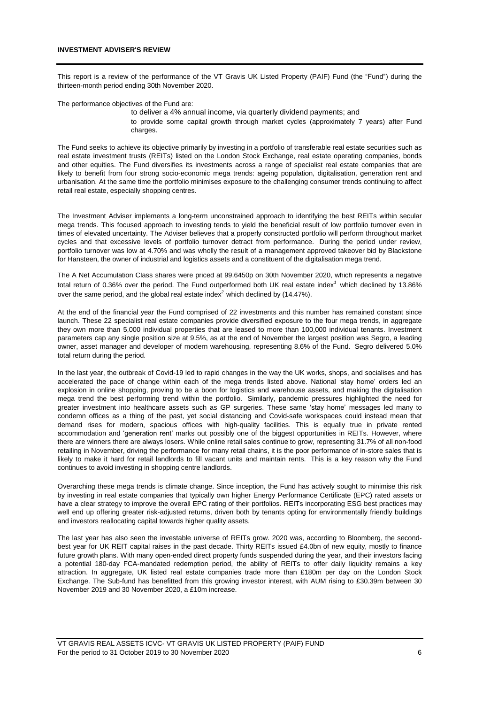### **INVESTMENT ADVISER'S REVIEW**

This report is a review of the performance of the VT Gravis UK Listed Property (PAIF) Fund (the "Fund") during the thirteen-month period ending 30th November 2020.

The performance objectives of the Fund are:

- to deliver a 4% annual income, via quarterly dividend payments; and to provide some capital growth through market cycles (approximately 7 years) after Fund
- charges

The Fund seeks to achieve its objective primarily by investing in a portfolio of transferable real estate securities such as real estate investment trusts (REITs) listed on the London Stock Exchange, real estate operating companies, bonds and other equities. The Fund diversifies its investments across a range of specialist real estate companies that are likely to benefit from four strong socio-economic mega trends: ageing population, digitalisation, generation rent and urbanisation. At the same time the portfolio minimises exposure to the challenging consumer trends continuing to affect retail real estate, especially shopping centres.

The Investment Adviser implements a long-term unconstrained approach to identifying the best REITs within secular mega trends. This focused approach to investing tends to yield the beneficial result of low portfolio turnover even in times of elevated uncertainty. The Adviser believes that a properly constructed portfolio will perform throughout market cycles and that excessive levels of portfolio turnover detract from performance. During the period under review, portfolio turnover was low at 4.70% and was wholly the result of a management approved takeover bid by Blackstone for Hansteen, the owner of industrial and logistics assets and a constituent of the digitalisation mega trend.

The A Net Accumulation Class shares were priced at 99.6450p on 30th November 2020, which represents a negative total return of 0.36% over the period. The Fund outperformed both UK real estate index*<sup>1</sup>* which declined by 13.86% over the same period, and the global real estate index<sup>2</sup> which declined by (14.47%).

At the end of the financial year the Fund comprised of 22 investments and this number has remained constant since launch. These 22 specialist real estate companies provide diversified exposure to the four mega trends, in aggregate they own more than 5,000 individual properties that are leased to more than 100,000 individual tenants. Investment parameters cap any single position size at 9.5%, as at the end of November the largest position was Segro, a leading owner, asset manager and developer of modern warehousing, representing 8.6% of the Fund. Segro delivered 5.0% total return during the period.

In the last year, the outbreak of Covid-19 led to rapid changes in the way the UK works, shops, and socialises and has accelerated the pace of change within each of the mega trends listed above. National 'stay home' orders led an explosion in online shopping, proving to be a boon for logistics and warehouse assets, and making the digitalisation mega trend the best performing trend within the portfolio. Similarly, pandemic pressures highlighted the need for greater investment into healthcare assets such as GP surgeries. These same 'stay home' messages led many to condemn offices as a thing of the past, yet social distancing and Covid-safe workspaces could instead mean that demand rises for modern, spacious offices with high-quality facilities. This is equally true in private rented accommodation and 'generation rent' marks out possibly one of the biggest opportunities in REITs. However, where there are winners there are always losers. While online retail sales continue to grow, representing 31.7% of all non-food retailing in November, driving the performance for many retail chains, it is the poor performance of in-store sales that is likely to make it hard for retail landlords to fill vacant units and maintain rents. This is a key reason why the Fund continues to avoid investing in shopping centre landlords.

Overarching these mega trends is climate change. Since inception, the Fund has actively sought to minimise this risk by investing in real estate companies that typically own higher Energy Performance Certificate (EPC) rated assets or have a clear strategy to improve the overall EPC rating of their portfolios. REITs incorporating ESG best practices may well end up offering greater risk-adjusted returns, driven both by tenants opting for environmentally friendly buildings and investors reallocating capital towards higher quality assets.

The last year has also seen the investable universe of REITs grow. 2020 was, according to Bloomberg, the secondbest year for UK REIT capital raises in the past decade. Thirty REITs issued £4.0bn of new equity, mostly to finance future growth plans. With many open-ended direct property funds suspended during the year, and their investors facing a potential 180-day FCA-mandated redemption period, the ability of REITs to offer daily liquidity remains a key attraction. In aggregate, UK listed real estate companies trade more than £180m per day on the London Stock Exchange. The Sub-fund has benefitted from this growing investor interest, with AUM rising to £30.39m between 30 November 2019 and 30 November 2020, a £10m increase.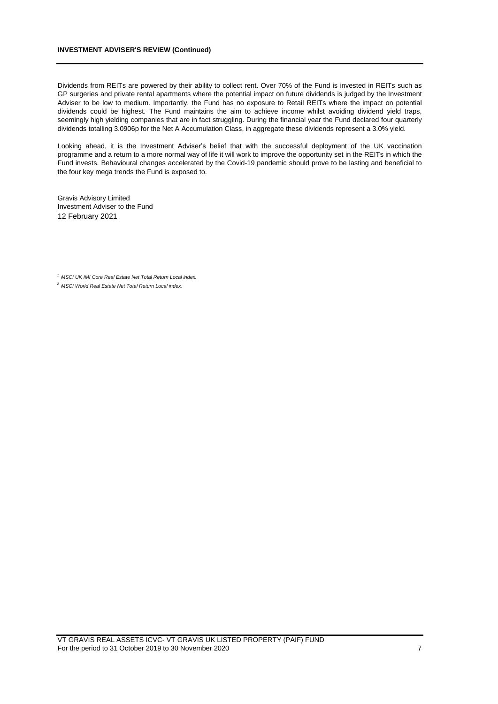### **INVESTMENT ADVISER'S REVIEW (Continued)**

Dividends from REITs are powered by their ability to collect rent. Over 70% of the Fund is invested in REITs such as GP surgeries and private rental apartments where the potential impact on future dividends is judged by the Investment Adviser to be low to medium. Importantly, the Fund has no exposure to Retail REITs where the impact on potential dividends could be highest. The Fund maintains the aim to achieve income whilst avoiding dividend yield traps, seemingly high yielding companies that are in fact struggling. During the financial year the Fund declared four quarterly dividends totalling 3.0906p for the Net A Accumulation Class, in aggregate these dividends represent a 3.0% yield.

Looking ahead, it is the Investment Adviser's belief that with the successful deployment of the UK vaccination programme and a return to a more normal way of life it will work to improve the opportunity set in the REITs in which the Fund invests. Behavioural changes accelerated by the Covid-19 pandemic should prove to be lasting and beneficial to the four key mega trends the Fund is exposed to.

12 February 2021 Gravis Advisory Limited Investment Adviser to the Fund

<sup>1</sup> MSCI UK IMI Core Real Estate Net Total Return Local index.

*2 MSCI World Real Estate Net Total Return Local index.*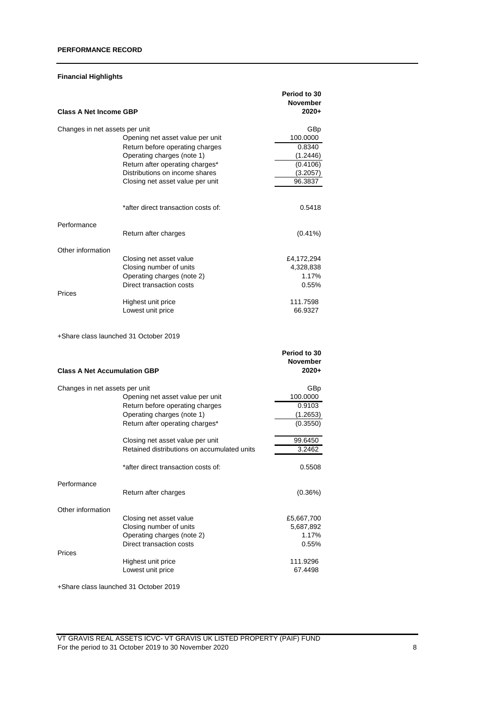# **Financial Highlights**

| <b>Class A Net Income GBP</b>         |                                             | Period to 30<br><b>November</b><br>$2020+$ |
|---------------------------------------|---------------------------------------------|--------------------------------------------|
| Changes in net assets per unit        |                                             | GBp                                        |
|                                       | Opening net asset value per unit            | 100.0000                                   |
|                                       | Return before operating charges             | 0.8340                                     |
|                                       | Operating charges (note 1)                  | (1.2446)                                   |
|                                       | Return after operating charges*             | (0.4106)                                   |
|                                       | Distributions on income shares              | (3.2057)                                   |
|                                       | Closing net asset value per unit            | 96.3837                                    |
|                                       | *after direct transaction costs of:         | 0.5418                                     |
| Performance                           | Return after charges                        | $(0.41\%)$                                 |
| Other information                     |                                             |                                            |
|                                       | Closing net asset value                     | £4,172,294                                 |
|                                       | Closing number of units                     | 4,328,838                                  |
|                                       | Operating charges (note 2)                  | 1.17%                                      |
| Prices                                | Direct transaction costs                    | 0.55%                                      |
|                                       | Highest unit price                          | 111.7598                                   |
|                                       | Lowest unit price                           | 66.9327                                    |
| +Share class launched 31 October 2019 |                                             |                                            |
| <b>Class A Net Accumulation GBP</b>   |                                             | Period to 30<br><b>November</b><br>$2020+$ |
|                                       |                                             |                                            |
| Changes in net assets per unit        |                                             | GBp                                        |
|                                       | Opening net asset value per unit            | 100.0000                                   |
|                                       | Return before operating charges             | 0.9103                                     |
|                                       | Operating charges (note 1)                  | (1.2653)                                   |
|                                       | Return after operating charges*             | (0.3550)                                   |
|                                       | Closing net asset value per unit            | 99.6450                                    |
|                                       | Retained distributions on accumulated units | 3.2462                                     |
|                                       | after direct transaction costs of:          | 0.5508                                     |
| Performance                           |                                             |                                            |
|                                       | Return after charges                        | (0.36%)                                    |
| Other information                     |                                             |                                            |
|                                       | Closing net asset value                     | £5,667,700                                 |
|                                       | Closing number of units                     | 5,687,892                                  |
|                                       | Operating charges (note 2)                  | 1.17%                                      |
|                                       | Direct transaction costs                    | 0.55%                                      |
| Prices                                |                                             |                                            |
|                                       | Highest unit price                          | 111.9296                                   |
|                                       | Lowest unit price                           | 67.4498                                    |

+Share class launched 31 October 2019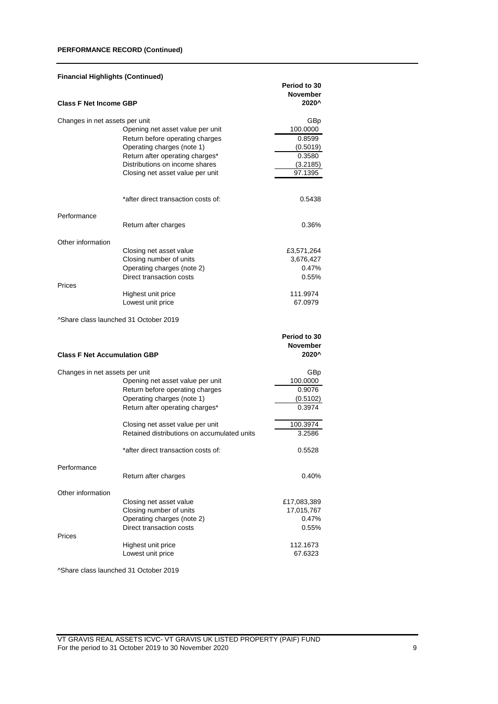# **PERFORMANCE RECORD (Continued)**

| <b>Financial Highlights (Continued)</b> |                                             |                 |
|-----------------------------------------|---------------------------------------------|-----------------|
|                                         |                                             | Period to 30    |
|                                         |                                             | <b>November</b> |
| <b>Class F Net Income GBP</b>           |                                             | 2020^           |
|                                         |                                             |                 |
| Changes in net assets per unit          |                                             | GBp             |
|                                         | Opening net asset value per unit            | 100.0000        |
|                                         |                                             | 0.8599          |
|                                         | Return before operating charges             |                 |
|                                         | Operating charges (note 1)                  | (0.5019)        |
|                                         | Return after operating charges*             | 0.3580          |
|                                         | Distributions on income shares              | (3.2185)        |
|                                         | Closing net asset value per unit            | 97.1395         |
|                                         |                                             |                 |
|                                         | *after direct transaction costs of:         | 0.5438          |
|                                         |                                             |                 |
| Performance                             |                                             |                 |
|                                         | Return after charges                        | 0.36%           |
|                                         |                                             |                 |
| Other information                       |                                             |                 |
|                                         | Closing net asset value                     | £3,571,264      |
|                                         | Closing number of units                     | 3,676,427       |
|                                         | Operating charges (note 2)                  | 0.47%           |
|                                         | Direct transaction costs                    | 0.55%           |
| Prices                                  |                                             |                 |
|                                         |                                             | 111.9974        |
|                                         | Highest unit price                          |                 |
|                                         | Lowest unit price                           | 67.0979         |
| ^Share class launched 31 October 2019   |                                             |                 |
|                                         |                                             | Period to 30    |
|                                         |                                             |                 |
|                                         |                                             | <b>November</b> |
| <b>Class F Net Accumulation GBP</b>     |                                             | 2020^           |
|                                         |                                             |                 |
| Changes in net assets per unit          |                                             | GBp             |
|                                         | Opening net asset value per unit            | 100.0000        |
|                                         | Return before operating charges             | 0.9076          |
|                                         | Operating charges (note 1)                  | (0.5102)        |
|                                         | Return after operating charges*             | 0.3974          |
|                                         |                                             |                 |
|                                         | Closing net asset value per unit            | 100.3974        |
|                                         | Retained distributions on accumulated units | 3.2586          |
|                                         | after direct transaction costs of:          | 0.5528          |
|                                         |                                             |                 |
| Performance                             |                                             |                 |
|                                         | Return after charges                        | 0.40%           |
|                                         |                                             |                 |
| Other information                       |                                             |                 |
|                                         | Closing net asset value                     | £17,083,389     |
|                                         | Closing number of units                     | 17,015,767      |
|                                         | Operating charges (note 2)                  | 0.47%           |
|                                         | Direct transaction costs                    | 0.55%           |
| Prices                                  |                                             |                 |
|                                         | Highest unit price                          | 112.1673        |
|                                         | Lowest unit price                           | 67.6323         |

^Share class launched 31 October 2019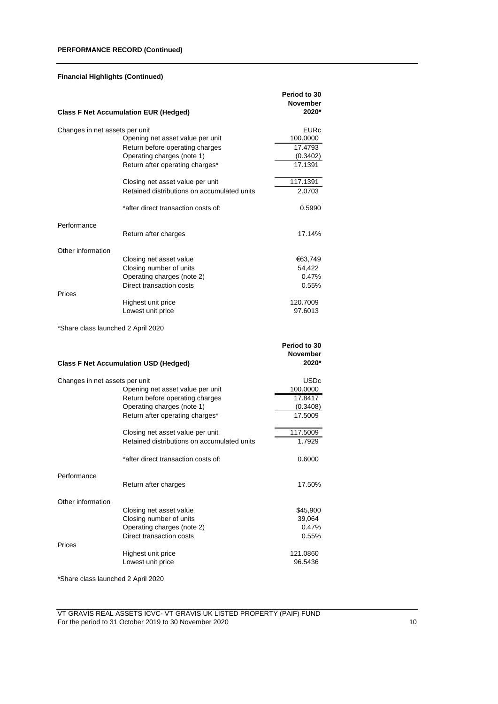# **Financial Highlights (Continued)**

|                                    | <b>Class F Net Accumulation EUR (Hedged)</b> | Period to 30<br>November<br>2020* |
|------------------------------------|----------------------------------------------|-----------------------------------|
| Changes in net assets per unit     |                                              | <b>EURc</b>                       |
|                                    | Opening net asset value per unit             | 100.0000                          |
|                                    | Return before operating charges              | 17.4793                           |
|                                    | Operating charges (note 1)                   | (0.3402)                          |
|                                    | Return after operating charges*              | 17.1391                           |
|                                    | Closing net asset value per unit             | 117.1391                          |
|                                    | Retained distributions on accumulated units  | 2.0703                            |
|                                    | *after direct transaction costs of:          | 0.5990                            |
| Performance                        |                                              |                                   |
|                                    | Return after charges                         | 17.14%                            |
| Other information                  |                                              |                                   |
|                                    | Closing net asset value                      | €63,749                           |
|                                    | Closing number of units                      | 54,422                            |
|                                    | Operating charges (note 2)                   | 0.47%                             |
| Prices                             | Direct transaction costs                     | 0.55%                             |
|                                    | Highest unit price                           | 120.7009                          |
|                                    | Lowest unit price                            | 97.6013                           |
| *Share class launched 2 April 2020 |                                              |                                   |
|                                    |                                              | Period to 30                      |
|                                    |                                              | <b>November</b>                   |
|                                    | <b>Class F Net Accumulation USD (Hedged)</b> | 2020*                             |
| Changes in net assets per unit     |                                              | USDc                              |
|                                    | Opening net asset value per unit             | 100.0000                          |
|                                    | Return before operating charges              | 17.8417                           |
|                                    | Operating charges (note 1)                   | (0.3408)                          |
|                                    | Return after operating charges*              | 17.5009                           |
|                                    | Closing net asset value per unit             | 117.5009                          |
|                                    | Retained distributions on accumulated units  | 1.7929                            |
|                                    | *after direct transaction costs of:          | 0.6000                            |
| Performance                        | Return after charges                         | 17.50%                            |
|                                    |                                              |                                   |
| Other information                  | Closing net asset value                      | \$45,900                          |
|                                    | Closing number of units                      | 39,064                            |
|                                    | Operating charges (note 2)                   | 0.47%                             |
|                                    | Direct transaction costs                     | 0.55%                             |
| Prices                             |                                              |                                   |
|                                    | Highest unit price                           | 121.0860                          |
|                                    | Lowest unit price                            | 96.5436                           |

\*Share class launched 2 April 2020

VT GRAVIS REAL ASSETS ICVC- VT GRAVIS UK LISTED PROPERTY (PAIF) FUND For the period to 31 October 2019 to 30 November 2020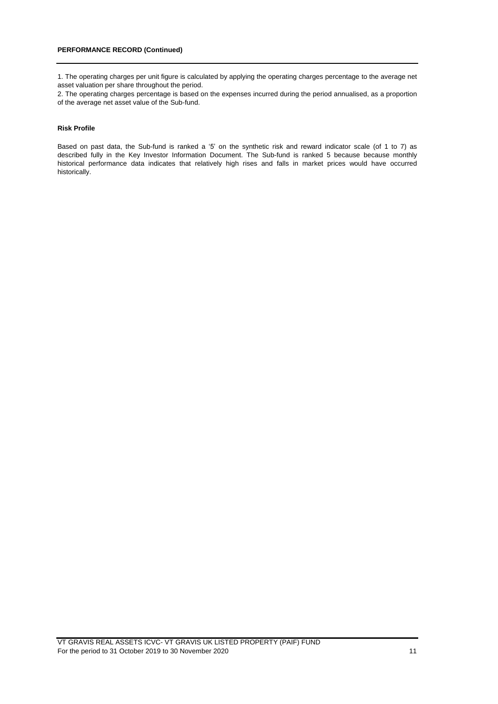1. The operating charges per unit figure is calculated by applying the operating charges percentage to the average net asset valuation per share throughout the period.

2. The operating charges percentage is based on the expenses incurred during the period annualised, as a proportion of the average net asset value of the Sub-fund.

### **Risk Profile**

Based on past data, the Sub-fund is ranked a '5' on the synthetic risk and reward indicator scale (of 1 to 7) as described fully in the Key Investor Information Document. The Sub-fund is ranked 5 because because monthly historical performance data indicates that relatively high rises and falls in market prices would have occurred historically.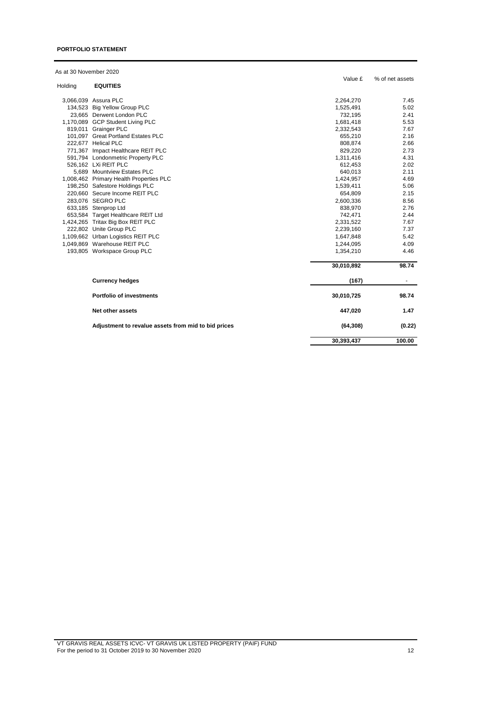| As at 30 November 2020 |                                                     |            |                 |
|------------------------|-----------------------------------------------------|------------|-----------------|
| Holding                | <b>EQUITIES</b>                                     | Value £    | % of net assets |
|                        | 3,066,039 Assura PLC                                | 2,264,270  | 7.45            |
|                        | 134,523 Big Yellow Group PLC                        | 1,525,491  | 5.02            |
|                        | 23,665 Derwent London PLC                           | 732,195    | 2.41            |
|                        | 1,170,089 GCP Student Living PLC                    | 1,681,418  | 5.53            |
|                        | 819,011 Grainger PLC                                | 2,332,543  | 7.67            |
|                        | 101,097 Great Portland Estates PLC                  | 655,210    | 2.16            |
|                        | 222,677 Helical PLC                                 | 808,874    | 2.66            |
|                        | 771,367 Impact Healthcare REIT PLC                  | 829,220    | 2.73            |
|                        | 591,794 Londonmetric Property PLC                   | 1,311,416  | 4.31            |
|                        | 526,162 LXi REIT PLC                                | 612,453    | 2.02            |
|                        | 5.689 Mountview Estates PLC                         | 640,013    | 2.11            |
|                        | 1,008,462 Primary Health Properties PLC             | 1,424,957  | 4.69            |
|                        | 198,250 Safestore Holdings PLC                      | 1,539,411  | 5.06            |
|                        | 220,660 Secure Income REIT PLC                      | 654,809    | 2.15            |
|                        | 283,076 SEGRO PLC                                   | 2,600,336  | 8.56            |
|                        | 633,185 Stenprop Ltd                                | 838,970    | 2.76            |
|                        | 653,584 Target Healthcare REIT Ltd                  | 742.471    | 2.44            |
|                        | 1,424,265 Tritax Big Box REIT PLC                   | 2,331,522  | 7.67            |
|                        | 222,802 Unite Group PLC                             | 2,239,160  | 7.37            |
|                        | 1,109,662 Urban Logistics REIT PLC                  | 1,647,848  | 5.42            |
|                        | 1.049.869 Warehouse REIT PLC                        | 1,244,095  | 4.09            |
|                        | 193,805 Workspace Group PLC                         | 1,354,210  | 4.46            |
|                        |                                                     | 30,010,892 | 98.74           |
|                        | <b>Currency hedges</b>                              | (167)      | ٠               |
|                        | <b>Portfolio of investments</b>                     | 30,010,725 | 98.74           |
|                        | Net other assets                                    | 447,020    | 1.47            |
|                        | Adjustment to revalue assets from mid to bid prices | (64, 308)  | (0.22)          |
|                        |                                                     | 30,393,437 | 100.00          |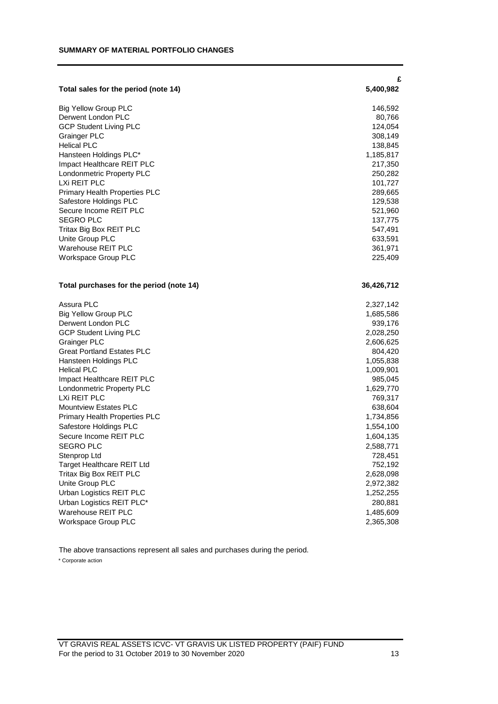|                                          | £          |
|------------------------------------------|------------|
| Total sales for the period (note 14)     | 5,400,982  |
| <b>Big Yellow Group PLC</b>              | 146,592    |
| Derwent London PLC                       | 80,766     |
| <b>GCP Student Living PLC</b>            | 124,054    |
| <b>Grainger PLC</b>                      | 308,149    |
| <b>Helical PLC</b>                       | 138,845    |
| Hansteen Holdings PLC*                   | 1,185,817  |
| Impact Healthcare REIT PLC               | 217,350    |
| Londonmetric Property PLC                | 250,282    |
| LXi REIT PLC                             | 101,727    |
| <b>Primary Health Properties PLC</b>     | 289,665    |
| Safestore Holdings PLC                   | 129,538    |
| Secure Income REIT PLC                   | 521,960    |
| <b>SEGRO PLC</b>                         | 137,775    |
| Tritax Big Box REIT PLC                  | 547,491    |
| Unite Group PLC                          | 633,591    |
| <b>Warehouse REIT PLC</b>                | 361,971    |
| Workspace Group PLC                      | 225,409    |
| Total purchases for the period (note 14) | 36,426,712 |
| Assura PLC                               | 2,327,142  |
| <b>Big Yellow Group PLC</b>              | 1,685,586  |
| Derwent London PLC                       | 939,176    |
| <b>GCP Student Living PLC</b>            | 2,028,250  |
| <b>Grainger PLC</b>                      | 2,606,625  |
| <b>Great Portland Estates PLC</b>        | 804,420    |
| Hansteen Holdings PLC                    | 1,055,838  |
| <b>Helical PLC</b>                       | 1,009,901  |
| Impact Healthcare REIT PLC               | 985,045    |
| Londonmetric Property PLC                | 1,629,770  |
| LXI REIT PLC                             | 769,317    |
| <b>Mountview Estates PLC</b>             | 638,604    |
| <b>Primary Health Properties PLC</b>     | 1,734,856  |
| Safestore Holdings PLC                   | 1,554,100  |
| Secure Income REIT PLC                   | 1,604,135  |
| SEGRO PLC                                | 2,588,771  |
| Stenprop Ltd                             | 728,451    |
| Target Healthcare REIT Ltd               | 752,192    |
| Tritax Big Box REIT PLC                  | 2,628,098  |
| Unite Group PLC                          | 2,972,382  |
| Urban Logistics REIT PLC                 | 1,252,255  |
| Urban Logistics REIT PLC*                | 280,881    |
| Warehouse REIT PLC                       | 1,485,609  |
| Workspace Group PLC                      | 2,365,308  |

The above transactions represent all sales and purchases during the period.

\* Corporate action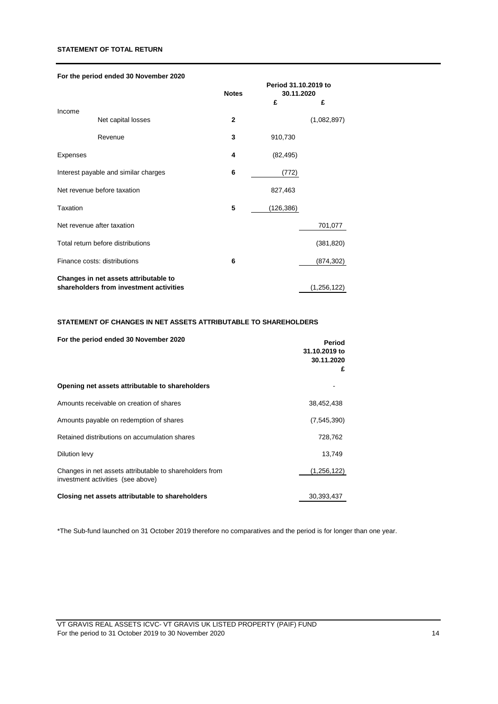### **STATEMENT OF TOTAL RETURN**

|                 | For the period ended 30 November 2020   |              |                                    |             |
|-----------------|-----------------------------------------|--------------|------------------------------------|-------------|
|                 |                                         | <b>Notes</b> | Period 31.10.2019 to<br>30.11.2020 |             |
|                 |                                         |              | £                                  | £           |
| Income          | Net capital losses                      | $\mathbf{2}$ |                                    | (1,082,897) |
|                 | Revenue                                 | 3            | 910,730                            |             |
| <b>Expenses</b> |                                         | 4            | (82, 495)                          |             |
|                 | Interest payable and similar charges    | 6            | (772)                              |             |
|                 | Net revenue before taxation             |              | 827,463                            |             |
| Taxation        |                                         | 5            | (126, 386)                         |             |
|                 | Net revenue after taxation              |              |                                    | 701,077     |
|                 | Total return before distributions       |              |                                    | (381, 820)  |
|                 | Finance costs: distributions            | 6            |                                    | (874, 302)  |
|                 | Changes in net assets attributable to   |              |                                    |             |
|                 | shareholders from investment activities |              |                                    | (1,256,122) |

### **STATEMENT OF CHANGES IN NET ASSETS ATTRIBUTABLE TO SHAREHOLDERS**

| For the period ended 30 November 2020                                                        | Period<br>31.10.2019 to<br>30.11.2020<br>£ |
|----------------------------------------------------------------------------------------------|--------------------------------------------|
| Opening net assets attributable to shareholders                                              |                                            |
| Amounts receivable on creation of shares                                                     | 38,452,438                                 |
| Amounts payable on redemption of shares                                                      | (7,545,390)                                |
| Retained distributions on accumulation shares                                                | 728,762                                    |
| Dilution levy                                                                                | 13,749                                     |
| Changes in net assets attributable to shareholders from<br>investment activities (see above) | (1,256,122)                                |
| Closing net assets attributable to shareholders                                              | 30,393,437                                 |

\*The Sub-fund launched on 31 October 2019 therefore no comparatives and the period is for longer than one year.

VT GRAVIS REAL ASSETS ICVC- VT GRAVIS UK LISTED PROPERTY (PAIF) FUND For the period to 31 October 2019 to 30 November 2020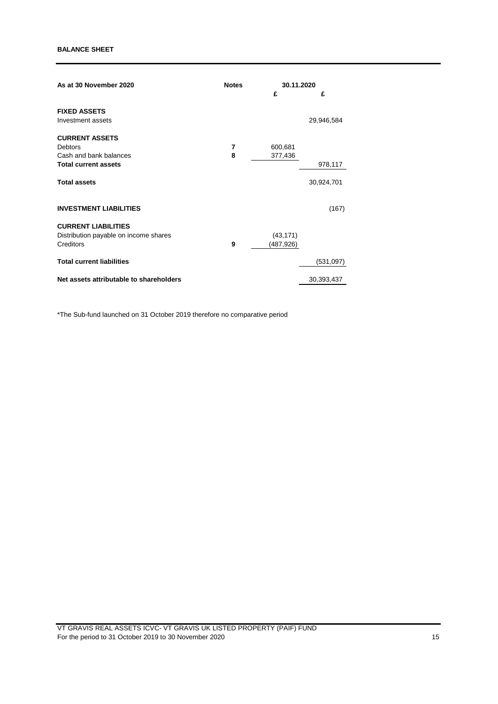| As at 30 November 2020                  | <b>Notes</b> | 30.11.2020 |            |
|-----------------------------------------|--------------|------------|------------|
|                                         |              | £          | £          |
| <b>FIXED ASSETS</b>                     |              |            |            |
| Investment assets                       |              |            | 29,946,584 |
| <b>CURRENT ASSETS</b>                   |              |            |            |
| <b>Debtors</b>                          | 7            | 600,681    |            |
| Cash and bank balances                  | 8            | 377,436    |            |
| <b>Total current assets</b>             |              |            | 978,117    |
| <b>Total assets</b>                     |              |            | 30,924,701 |
| <b>INVESTMENT LIABILITIES</b>           |              |            | (167)      |
| <b>CURRENT LIABILITIES</b>              |              |            |            |
| Distribution payable on income shares   |              | (43, 171)  |            |
| Creditors                               | 9            | (487,926)  |            |
| <b>Total current liabilities</b>        |              |            | (531,097)  |
| Net assets attributable to shareholders |              |            | 30,393,437 |

\*The Sub-fund launched on 31 October 2019 therefore no comparative period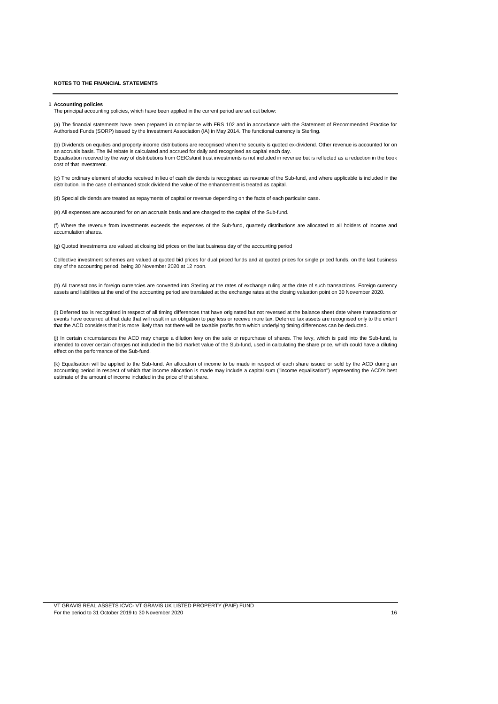#### **NOTES TO THE FINANCIAL STATEMENTS**

#### **1 Accounting policies**

The principal accounting policies, which have been applied in the current period are set out below:

(a) The financial statements have been prepared in compliance with FRS 102 and in accordance with the Statement of Recommended Practice for Authorised Funds (SORP) issued by the Investment Association (IA) in May 2014. The functional currency is Sterling.

(b) Dividends on equities and property income distributions are recognised when the security is quoted ex-dividend. Other revenue is accounted for on an accruals basis. The IM rebate is calculated and accrued for daily and recognised as capital each day. Equalisation received by the way of distributions from OEICs/unit trust investments is not included in revenue but is reflected as a reduction in the book cost of that investment.

(c) The ordinary element of stocks received in lieu of cash dividends is recognised as revenue of the Sub-fund, and where applicable is included in the distribution. In the case of enhanced stock dividend the value of the enhancement is treated as capital.

(d) Special dividends are treated as repayments of capital or revenue depending on the facts of each particular case.

(e) All expenses are accounted for on an accruals basis and are charged to the capital of the Sub-fund.

(f) Where the revenue from investments exceeds the expenses of the Sub-fund, quarterly distributions are allocated to all holders of income and accumulation shares.

(g) Quoted investments are valued at closing bid prices on the last business day of the accounting period

Collective investment schemes are valued at quoted bid prices for dual priced funds and at quoted prices for single priced funds, on the last business day of the accounting period, being 30 November 2020 at 12 noon.

(h) All transactions in foreign currencies are converted into Sterling at the rates of exchange ruling at the date of such transactions. Foreign currency assets and liabilities at the end of the accounting period are translated at the exchange rates at the closing valuation point on 30 November 2020.

(i) Deferred tax is recognised in respect of all timing differences that have originated but not reversed at the balance sheet date where transactions or events have occurred at that date that will result in an obligation to pay less or receive more tax. Deferred tax assets are recognised only to the extent that the ACD considers that it is more likely than not there will be taxable profits from which underlying timing differences can be deducted.

(j) In certain circumstances the ACD may charge a dilution levy on the sale or repurchase of shares. The levy, which is paid into the Sub-fund, is intended to cover certain charges not included in the bid market value of the Sub-fund, used in calculating the share price, which could have a diluting effect on the performance of the Sub-fund.

(k) Equalisation will be applied to the Sub-fund. An allocation of income to be made in respect of each share issued or sold by the ACD during an accounting period in respect of which that income allocation is made may include a capital sum ("income equalisation") representing the ACD's best estimate of the amount of income included in the price of that share.

VT GRAVIS REAL ASSETS ICVC- VT GRAVIS UK LISTED PROPERTY (PAIF) FUND For the period to 31 October 2019 to 30 November 2020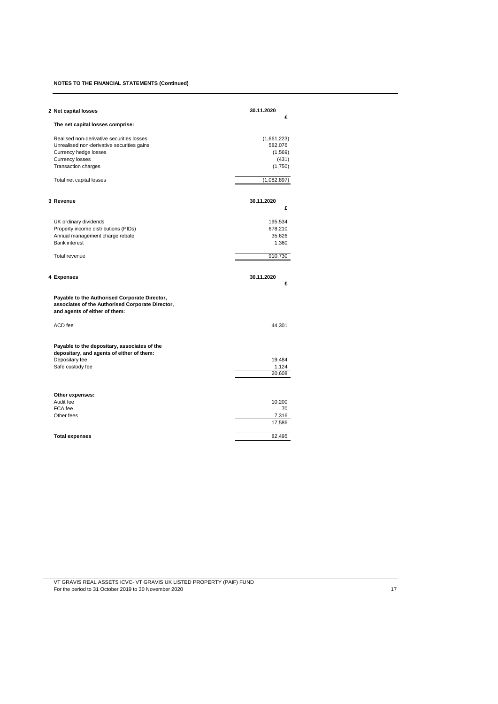| 2 Net capital losses                                                                                                               | 30.11.2020      |
|------------------------------------------------------------------------------------------------------------------------------------|-----------------|
| The net capital losses comprise:                                                                                                   | £               |
| Realised non-derivative securities losses                                                                                          | (1,661,223)     |
| Unrealised non-derivative securities gains                                                                                         | 582,076         |
| Currency hedge losses                                                                                                              | (1, 569)        |
| <b>Currency losses</b>                                                                                                             | (431)           |
| <b>Transaction charges</b>                                                                                                         | (1,750)         |
| Total net capital losses                                                                                                           | (1,082,897)     |
| 3 Revenue                                                                                                                          | 30.11.2020      |
|                                                                                                                                    | £               |
| UK ordinary dividends                                                                                                              | 195,534         |
| Property income distributions (PIDs)                                                                                               | 678,210         |
| Annual management charge rebate                                                                                                    | 35,626          |
| <b>Bank interest</b>                                                                                                               | 1,360           |
| Total revenue                                                                                                                      | 910,730         |
| 4 Expenses                                                                                                                         | 30.11.2020<br>£ |
| Payable to the Authorised Corporate Director,<br>associates of the Authorised Corporate Director,<br>and agents of either of them: |                 |
| ACD fee                                                                                                                            | 44,301          |
| Payable to the depositary, associates of the<br>depositary, and agents of either of them:                                          |                 |
| Depositary fee                                                                                                                     | 19,484          |
| Safe custody fee                                                                                                                   | 1,124           |
|                                                                                                                                    | 20,608          |
| Other expenses:                                                                                                                    |                 |
| Audit fee                                                                                                                          | 10,200          |
| FCA fee                                                                                                                            | 70              |
| Other fees                                                                                                                         | 7,316           |
|                                                                                                                                    | 17,586          |
| <b>Total expenses</b>                                                                                                              | 82,495          |
|                                                                                                                                    |                 |

VT GRAVIS REAL ASSETS ICVC- VT GRAVIS UK LISTED PROPERTY (PAIF) FUND For the period to 31 October 2019 to 30 November 2020 17 November 2020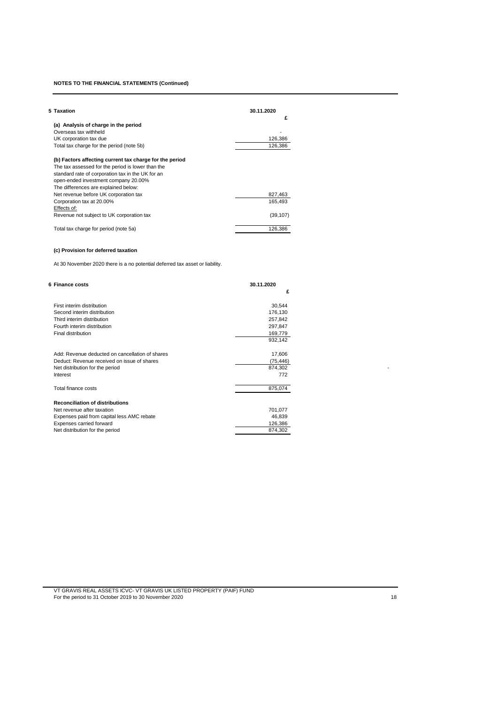| 5 Taxation                                              | 30.11.2020<br>£ |
|---------------------------------------------------------|-----------------|
| (a) Analysis of charge in the period                    |                 |
| Overseas tax withheld                                   |                 |
| UK corporation tax due                                  | 126,386         |
| Total tax charge for the period (note 5b)               | 126,386         |
| (b) Factors affecting current tax charge for the period |                 |
| The tax assessed for the period is lower than the       |                 |
| standard rate of corporation tax in the UK for an       |                 |
| open-ended investment company 20.00%                    |                 |
| The differences are explained below:                    |                 |
| Net revenue before UK corporation tax                   | 827,463         |
| Corporation tax at 20.00%                               | 165,493         |
| Effects of:                                             |                 |
| Revenue not subject to UK corporation tax               | (39, 107)       |
| Total tax charge for period (note 5a)                   | 126.386         |

### **(c) Provision for deferred taxation**

At 30 November 2020 there is a no potential deferred tax asset or liability.

| 6 Finance costs                                 | 30.11.2020 |
|-------------------------------------------------|------------|
|                                                 | £          |
| First interim distribution                      | 30,544     |
| Second interim distribution                     | 176,130    |
| Third interim distribution                      | 257,842    |
| Fourth interim distribution                     | 297,847    |
| Final distribution                              | 169,779    |
|                                                 | 932,142    |
| Add: Revenue deducted on cancellation of shares | 17,606     |
| Deduct: Revenue received on issue of shares     | (75, 446)  |
| Net distribution for the period                 | 874,302    |
| Interest                                        | 772        |
| Total finance costs                             | 875,074    |
| <b>Reconciliation of distributions</b>          |            |
| Net revenue after taxation                      | 701,077    |
| Expenses paid from capital less AMC rebate      | 46,839     |
| Expenses carried forward                        | 126,386    |
| Net distribution for the period                 | 874,302    |

VT GRAVIS REAL ASSETS ICVC- VT GRAVIS UK LISTED PROPERTY (PAIF) FUND<br>For the period to 31 October 2019 to 30 November 2020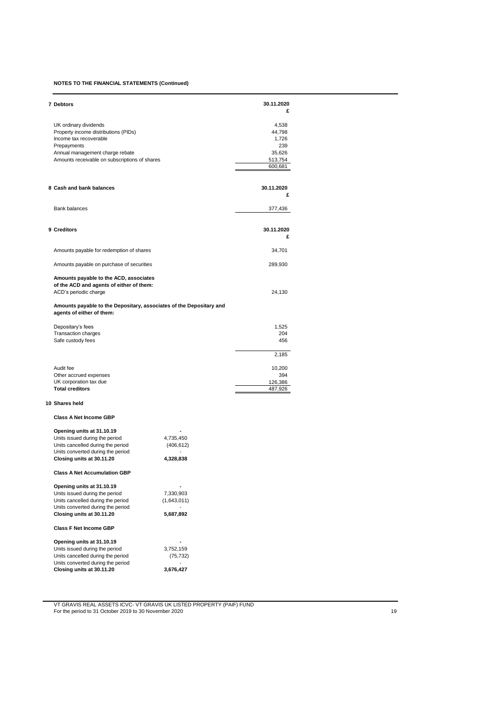| 7 Debtors                                                                                                                                                          |                                       | 30.11.2020<br>£                     |
|--------------------------------------------------------------------------------------------------------------------------------------------------------------------|---------------------------------------|-------------------------------------|
| UK ordinary dividends<br>Property income distributions (PIDs)<br>Income tax recoverable<br>Prepayments                                                             |                                       | 4,538<br>44,798<br>1,726<br>239     |
| Annual management charge rebate<br>Amounts receivable on subscriptions of shares                                                                                   |                                       | 35,626<br>513,754<br>600,681        |
| 8 Cash and bank balances                                                                                                                                           |                                       | 30.11.2020                          |
| <b>Bank balances</b>                                                                                                                                               |                                       | £<br>377,436                        |
| 9 Creditors                                                                                                                                                        |                                       | 30.11.2020<br>£                     |
| Amounts payable for redemption of shares                                                                                                                           |                                       | 34,701                              |
| Amounts payable on purchase of securities                                                                                                                          |                                       | 289,930                             |
| Amounts payable to the ACD, associates<br>of the ACD and agents of either of them:<br>ACD's periodic charge                                                        |                                       | 24,130                              |
| Amounts payable to the Depositary, associates of the Depositary and<br>agents of either of them:                                                                   |                                       |                                     |
| Depositary's fees<br>Transaction charges<br>Safe custody fees                                                                                                      |                                       | 1,525<br>204<br>456                 |
|                                                                                                                                                                    |                                       | 2,185                               |
| Audit fee<br>Other accrued expenses<br>UK corporation tax due<br><b>Total creditors</b>                                                                            |                                       | 10,200<br>394<br>126,386<br>487,926 |
| 10 Shares held                                                                                                                                                     |                                       |                                     |
| <b>Class A Net Income GBP</b>                                                                                                                                      |                                       |                                     |
| Opening units at 31.10.19<br>Units issued during the period<br>Units cancelled during the period<br>Units converted during the period<br>Closing units at 30.11.20 | 4,735,450<br>(406, 612)<br>4,328,838  |                                     |
| <b>Class A Net Accumulation GBP</b>                                                                                                                                |                                       |                                     |
| Opening units at 31.10.19<br>Units issued during the period<br>Units cancelled during the period<br>Units converted during the period<br>Closing units at 30.11.20 | 7,330,903<br>(1,643,011)<br>5,687,892 |                                     |
| <b>Class F Net Income GBP</b>                                                                                                                                      |                                       |                                     |
| Opening units at 31.10.19<br>Units issued during the period<br>Units cancelled during the period<br>Units converted during the period<br>Closing units at 30.11.20 | 3,752,159<br>(75, 732)<br>3,676,427   |                                     |

VT GRAVIS REAL ASSETS ICVC- VT GRAVIS UK LISTED PROPERTY (PAIF) FUND For the period to 31 October 2019 to 30 November 2020 19 November 2020 19 November 2019 19 November 2019 19 November 2019 19 November 2019 19 November 2019 19 November 2019 19 November 2019 19 November 2019 19 November 201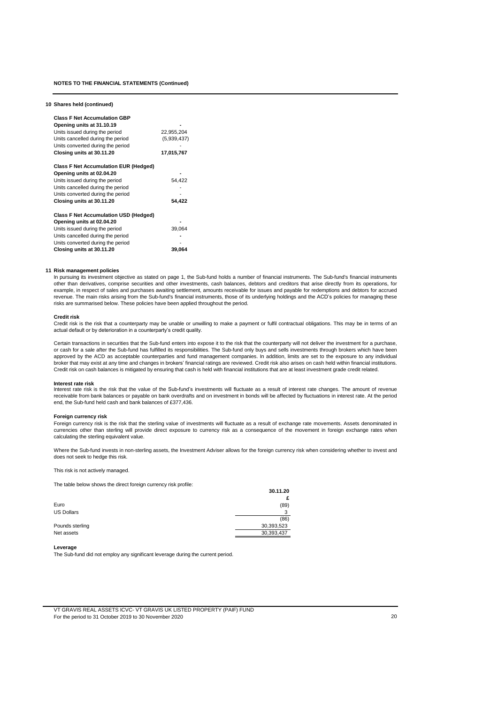#### **10 Shares held (continued)**

| <b>Class F Net Accumulation GBP</b>          |             |
|----------------------------------------------|-------------|
| Opening units at 31.10.19                    |             |
| Units issued during the period               | 22,955,204  |
| Units cancelled during the period            | (5,939,437) |
| Units converted during the period            |             |
| Closing units at 30.11.20                    | 17,015,767  |
| <b>Class F Net Accumulation EUR (Hedged)</b> |             |
| Opening units at 02.04.20                    |             |
| Units issued during the period               | 54,422      |
| Units cancelled during the period            |             |
| Units converted during the period            |             |
| Closing units at 30.11.20                    | 54,422      |
| <b>Class F Net Accumulation USD (Hedged)</b> |             |
|                                              |             |
| Opening units at 02.04.20                    |             |
| Units issued during the period               | 39,064      |
| Units cancelled during the period            |             |
| Units converted during the period            |             |
| Closing units at 30.11.20                    | 39.064      |

#### **11 Risk management policies**

In pursuing its investment objective as stated on page 1, the Sub-fund holds a number of financial instruments. The Sub-fund's financial instruments other than derivatives, comprise securities and other investments, cash balances, debtors and creditors that arise directly from its operations, for example, in respect of sales and purchases awaiting settlement, amounts receivable for issues and payable for redemptions and debtors for accrued revenue. The main risks arising from the Sub-fund's financial instruments, those of its underlying holdings and the ACD's policies for managing these risks are summarised below. These policies have been applied throughout the period.

#### **Credit risk**

Credit risk is the risk that a counterparty may be unable or unwilling to make a payment or fulfil contractual obligations. This may be in terms of an actual default or by deterioration in a counterparty's credit quality.

Certain transactions in securities that the Sub-fund enters into expose it to the risk that the counterparty will not deliver the investment for a purchase, or cash for a sale after the Sub-fund has fulfilled its responsibilities. The Sub-fund only buys and sells investments through brokers which have been approved by the ACD as acceptable counterparties and fund management companies. In addition, limits are set to the exposure to any individual broker that may exist at any time and changes in brokers' financial ratings are reviewed. Credit risk also arises on cash held within financial institutions. Credit risk on cash balances is mitigated by ensuring that cash is held with financial institutions that are at least investment grade credit related.

#### **Interest rate risk**

Interest rate risk is the risk that the value of the Sub-fund's investments will fluctuate as a result of interest rate changes. The amount of revenue receivable from bank balances or payable on bank overdrafts and on investment in bonds will be affected by fluctuations in interest rate. At the period end, the Sub-fund held cash and bank balances of £377,436.

#### **Foreign currency risk**

Foreign currency risk is the risk that the sterling value of investments will fluctuate as a result of exchange rate movements. Assets denominated in currencies other than sterling will provide direct exposure to currency risk as a consequence of the movement in foreign exchange rates when calculating the sterling equivalent value.

Where the Sub-fund invests in non-sterling assets, the Investment Adviser allows for the foreign currency risk when considering whether to invest and does not seek to hedge this risk.

**30.11.20**

This risk is not actively managed.

The table below shows the direct foreign currency risk profile:

| £          |
|------------|
| (89)       |
| 3          |
| (86)       |
| 30,393,523 |
| 30,393,437 |
|            |

#### **Leverage**

The Sub-fund did not employ any significant leverage during the current period.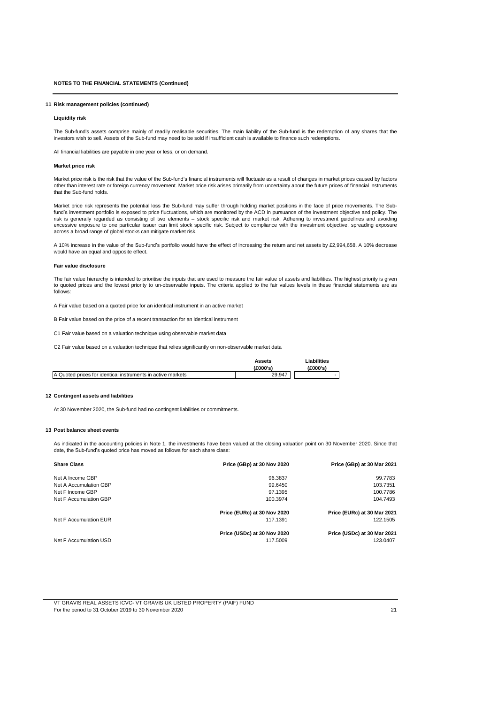#### **11 Risk management policies (continued)**

#### **Liquidity risk**

The Sub-fund's assets comprise mainly of readily realisable securities. The main liability of the Sub-fund is the redemption of any shares that the investors wish to sell. Assets of the Sub-fund may need to be sold if insufficient cash is available to finance such redemptions.

All financial liabilities are payable in one year or less, or on demand.

#### **Market price risk**

Market price risk is the risk that the value of the Sub-fund's financial instruments will fluctuate as a result of changes in market prices caused by factors other than interest rate or foreign currency movement. Market price risk arises primarily from uncertainty about the future prices of financial instruments that the Sub-fund holds.

Market price risk represents the potential loss the Sub-fund may suffer through holding market positions in the face of price movements. The Subfund's investment portfolio is exposed to price fluctuations, which are monitored by the ACD in pursuance of the investment objective and policy. The<br>risk is generally regarded as consisting of two elements – stock specifi excessive exposure to one particular issuer can limit stock specific risk. Subject to compliance with the investment objective, spreading exposure across a broad range of global stocks can mitigate market risk.

A 10% increase in the value of the Sub-fund's portfolio would have the effect of increasing the return and net assets by £2,994,658. A 10% decrease would have an equal and opposite effect.

#### **Fair value disclosure**

The fair value hierarchy is intended to prioritise the inputs that are used to measure the fair value of assets and liabilities. The highest priority is given to quoted prices and the lowest priority to un-observable inputs. The criteria applied to the fair values levels in these financial statements are as follows:

A Fair value based on a quoted price for an identical instrument in an active market

B Fair value based on the price of a recent transaction for an identical instrument

C1 Fair value based on a valuation technique using observable market data

C2 Fair value based on a valuation technique that relies significantly on non-observable market data

|                                                             | Assets   | Liabilities |
|-------------------------------------------------------------|----------|-------------|
|                                                             | (E000's) | (E000's)    |
| A Quoted prices for identical instruments in active markets | 29.947   |             |

#### **12 Contingent assets and liabilities**

At 30 November 2020, the Sub-fund had no contingent liabilities or commitments.

#### **13 Post balance sheet events**

As indicated in the accounting policies in Note 1, the investments have been valued at the closing valuation point on 30 November 2020. Since that date, the Sub-fund's quoted price has moved as follows for each share class:

| <b>Share Class</b>     | Price (GBp) at 30 Nov 2020  | Price (GBp) at 30 Mar 2021  |
|------------------------|-----------------------------|-----------------------------|
| Net A Income GBP       | 96.3837                     | 99.7783                     |
| Net A Accumulation GBP | 99.6450                     | 103.7351                    |
| Net F Income GBP       | 97.1395                     | 100.7786                    |
| Net F Accumulation GBP | 100.3974                    | 104.7493                    |
|                        | Price (EURc) at 30 Nov 2020 | Price (EURc) at 30 Mar 2021 |
| Net F Accumulation EUR | 117.1391                    | 122.1505                    |
|                        | Price (USDc) at 30 Nov 2020 | Price (USDc) at 30 Mar 2021 |
| Net F Accumulation USD | 117.5009                    | 123.0407                    |

VT GRAVIS REAL ASSETS ICVC- VT GRAVIS UK LISTED PROPERTY (PAIF) FUND For the period to 31 October 2019 to 30 November 2020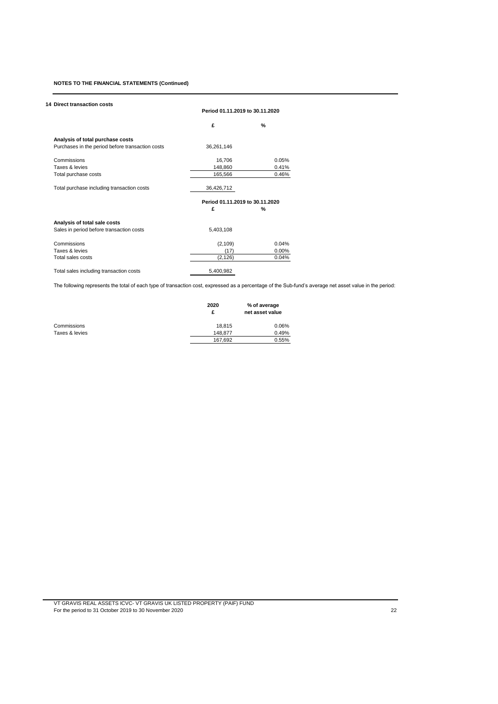### **14 Direct transaction costs**

|                                                  | Period 01.11.2019 to 30.11.2020 |       |
|--------------------------------------------------|---------------------------------|-------|
|                                                  | £                               | %     |
| Analysis of total purchase costs                 |                                 |       |
| Purchases in the period before transaction costs | 36,261,146                      |       |
| Commissions                                      | 16,706                          | 0.05% |
| Taxes & levies                                   | 148,860                         | 0.41% |
| Total purchase costs                             | 165,566                         | 0.46% |
| Total purchase including transaction costs       | 36,426,712                      |       |
|                                                  | Period 01.11.2019 to 30.11.2020 |       |
|                                                  | £                               | %     |
| Analysis of total sale costs                     |                                 |       |
|                                                  |                                 |       |
| Sales in period before transaction costs         | 5,403,108                       |       |
| Commissions                                      | (2, 109)                        | 0.04% |
| Taxes & levies                                   | (17)                            | 0.00% |
| Total sales costs                                | (2, 126)                        | 0.04% |

The following represents the total of each type of transaction cost, expressed as a percentage of the Sub-fund's average net asset value in the period:

|                | 2020<br>£ | % of average<br>net asset value |
|----------------|-----------|---------------------------------|
| Commissions    | 18.815    | 0.06%                           |
| Taxes & levies | 148.877   | 0.49%                           |
|                | 167.692   | 0.55%                           |

VT GRAVIS REAL ASSETS ICVC- VT GRAVIS UK LISTED PROPERTY (PAIF) FUND For the period to 31 October 2019 to 30 November 2020 22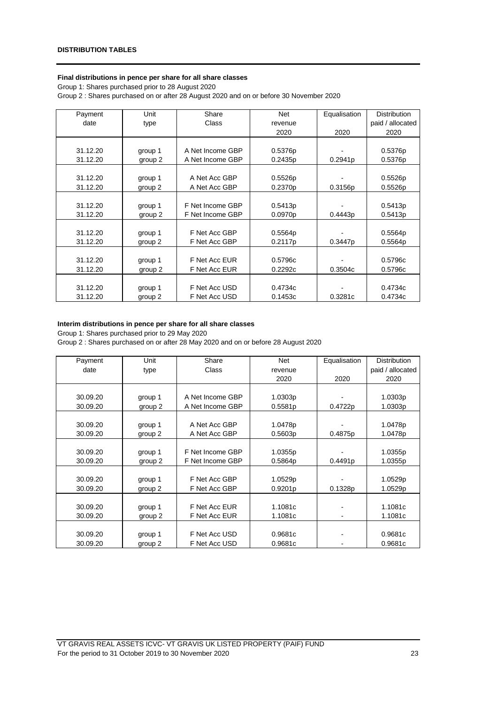### **Final distributions in pence per share for all share classes**

Group 1: Shares purchased prior to 28 August 2020

Group 2 : Shares purchased on or after 28 August 2020 and on or before 30 November 2020

| Payment  | Unit    | Share            | <b>Net</b> | Equalisation | <b>Distribution</b> |
|----------|---------|------------------|------------|--------------|---------------------|
| date     | type    | Class            | revenue    |              | paid / allocated    |
|          |         |                  | 2020       | 2020         | 2020                |
|          |         |                  |            |              |                     |
| 31.12.20 | group 1 | A Net Income GBP | 0.5376p    |              | 0.5376p             |
| 31.12.20 | group 2 | A Net Income GBP | 0.2435p    | 0.2941p      | 0.5376p             |
|          |         |                  |            |              |                     |
| 31.12.20 | group 1 | A Net Acc GBP    | 0.5526p    |              | 0.5526p             |
| 31.12.20 | group 2 | A Net Acc GBP    | 0.2370p    | 0.3156p      | 0.5526p             |
|          |         |                  |            |              |                     |
| 31.12.20 | group 1 | F Net Income GBP | 0.5413p    |              | 0.5413p             |
| 31.12.20 | group 2 | F Net Income GBP | 0.0970p    | 0.4443p      | 0.5413p             |
|          |         |                  |            |              |                     |
| 31.12.20 | group 1 | F Net Acc GBP    | 0.5564p    |              | 0.5564p             |
| 31.12.20 | group 2 | F Net Acc GBP    | 0.2117p    | 0.3447p      | 0.5564p             |
|          |         |                  |            |              |                     |
| 31.12.20 | group 1 | F Net Acc EUR    | 0.5796c    |              | 0.5796c             |
| 31.12.20 | group 2 | F Net Acc EUR    | 0.2292c    | 0.3504c      | 0.5796c             |
|          |         |                  |            |              |                     |
| 31.12.20 | group 1 | F Net Acc USD    | 0.4734c    |              | 0.4734c             |
| 31.12.20 | group 2 | F Net Acc USD    | 0.1453c    | 0.3281c      | 0.4734c             |

### **Interim distributions in pence per share for all share classes**

Group 1: Shares purchased prior to 29 May 2020

Group 2 : Shares purchased on or after 28 May 2020 and on or before 28 August 2020

| Payment  | Unit    | Share            | <b>Net</b> | Equalisation | <b>Distribution</b> |
|----------|---------|------------------|------------|--------------|---------------------|
| date     | type    | Class            | revenue    |              | paid / allocated    |
|          |         |                  | 2020       | 2020         | 2020                |
|          |         |                  |            |              |                     |
| 30.09.20 | group 1 | A Net Income GBP | 1.0303p    |              | 1.0303p             |
| 30.09.20 | group 2 | A Net Income GBP | 0.5581p    | 0.4722p      | 1.0303p             |
|          |         |                  |            |              |                     |
| 30.09.20 | group 1 | A Net Acc GBP    | 1.0478p    |              | 1.0478p             |
| 30.09.20 | group 2 | A Net Acc GBP    | 0.5603p    | 0.4875p      | 1.0478p             |
|          |         |                  |            |              |                     |
| 30.09.20 | group 1 | F Net Income GBP | 1.0355p    |              | 1.0355p             |
| 30.09.20 | group 2 | F Net Income GBP | 0.5864p    | 0.4491p      | 1.0355p             |
|          |         |                  |            |              |                     |
| 30.09.20 | group 1 | F Net Acc GBP    | 1.0529p    |              | 1.0529p             |
| 30.09.20 | group 2 | F Net Acc GBP    | 0.9201p    | 0.1328p      | 1.0529p             |
|          |         |                  |            |              |                     |
| 30.09.20 | group 1 | F Net Acc EUR    | 1.1081c    |              | 1.1081c             |
| 30.09.20 | group 2 | F Net Acc EUR    | 1.1081c    |              | 1.1081c             |
|          |         |                  |            |              |                     |
| 30.09.20 | group 1 | F Net Acc USD    | 0.9681c    |              | 0.9681c             |
| 30.09.20 | group 2 | F Net Acc USD    | 0.9681c    |              | 0.9681c             |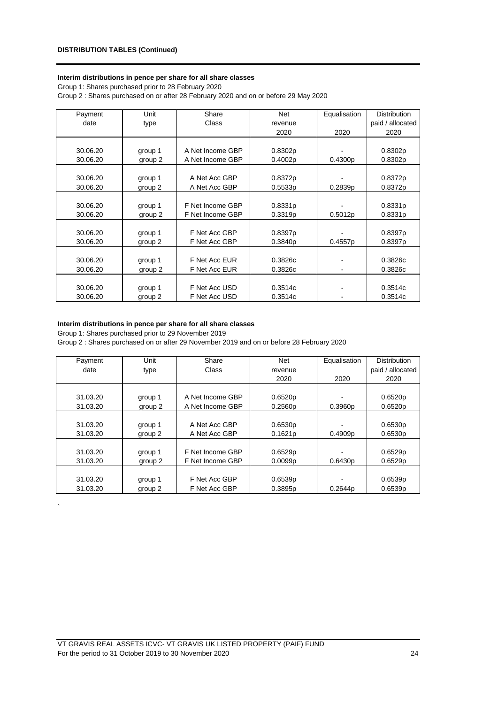### **Interim distributions in pence per share for all share classes**

Group 1: Shares purchased prior to 28 February 2020

Group 2 : Shares purchased on or after 28 February 2020 and on or before 29 May 2020

| Payment  | Unit    | Share            | <b>Net</b> | Equalisation | Distribution     |
|----------|---------|------------------|------------|--------------|------------------|
| date     | type    | Class            | revenue    |              | paid / allocated |
|          |         |                  | 2020       | 2020         | 2020             |
|          |         |                  |            |              |                  |
| 30.06.20 | group 1 | A Net Income GBP | 0.8302p    |              | 0.8302p          |
| 30.06.20 | group 2 | A Net Income GBP | 0.4002p    | 0.4300p      | 0.8302p          |
|          |         |                  |            |              |                  |
| 30.06.20 | group 1 | A Net Acc GBP    | 0.8372p    |              | 0.8372p          |
| 30.06.20 | group 2 | A Net Acc GBP    | 0.5533p    | 0.2839p      | 0.8372p          |
|          |         |                  |            |              |                  |
| 30.06.20 | group 1 | F Net Income GBP | 0.8331p    |              | 0.8331p          |
| 30.06.20 | group 2 | F Net Income GBP | 0.3319p    | 0.5012p      | 0.8331p          |
|          |         |                  |            |              |                  |
| 30.06.20 | group 1 | F Net Acc GBP    | 0.8397p    |              | 0.8397p          |
| 30.06.20 | group 2 | F Net Acc GBP    | 0.3840p    | 0.4557p      | 0.8397p          |
|          |         |                  |            |              |                  |
| 30.06.20 | group 1 | F Net Acc EUR    | 0.3826c    |              | 0.3826c          |
| 30.06.20 | group 2 | F Net Acc EUR    | 0.3826c    |              | 0.3826c          |
|          |         |                  |            |              |                  |
| 30.06.20 | group 1 | F Net Acc USD    | 0.3514c    |              | 0.3514c          |
| 30.06.20 | group 2 | F Net Acc USD    | 0.3514c    |              | 0.3514c          |

### **Interim distributions in pence per share for all share classes**

Group 1: Shares purchased prior to 29 November 2019

`

Group 2 : Shares purchased on or after 29 November 2019 and on or before 28 February 2020

| Payment  | Unit    | Share            | <b>Net</b> | Equalisation | <b>Distribution</b> |
|----------|---------|------------------|------------|--------------|---------------------|
| date     | type    | Class            | revenue    |              | paid / allocated    |
|          |         |                  | 2020       | 2020         | 2020                |
|          |         |                  |            |              |                     |
| 31.03.20 | group 1 | A Net Income GBP | 0.6520p    |              | 0.6520p             |
| 31.03.20 | group 2 | A Net Income GBP | 0.2560p    | 0.3960p      | 0.6520p             |
|          |         |                  |            |              |                     |
| 31.03.20 | group 1 | A Net Acc GBP    | 0.6530p    |              | 0.6530p             |
| 31.03.20 | group 2 | A Net Acc GBP    | 0.1621p    | 0.4909p      | 0.6530p             |
|          |         |                  |            |              |                     |
| 31.03.20 | group 1 | F Net Income GBP | 0.6529p    |              | 0.6529p             |
| 31.03.20 | group 2 | F Net Income GBP | 0.0099p    | 0.6430p      | 0.6529p             |
|          |         |                  |            |              |                     |
| 31.03.20 | group 1 | F Net Acc GBP    | 0.6539p    |              | 0.6539p             |
| 31.03.20 | group 2 | F Net Acc GBP    | 0.3895p    | 0.2644p      | 0.6539p             |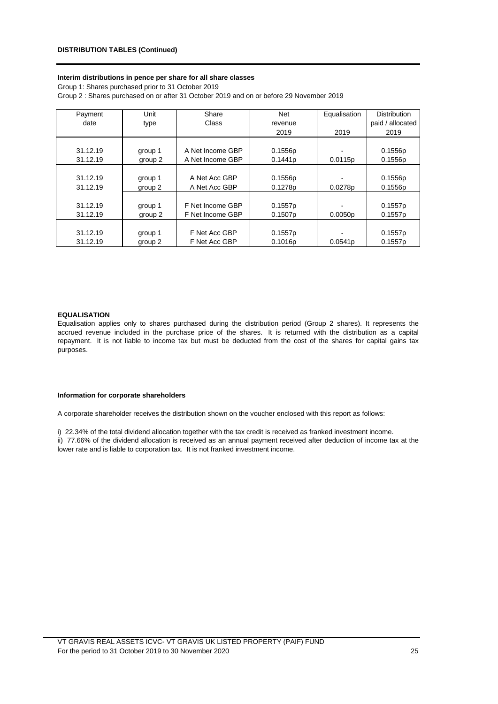### **Interim distributions in pence per share for all share classes**

Group 1: Shares purchased prior to 31 October 2019 Group 2 : Shares purchased on or after 31 October 2019 and on or before 29 November 2019

| Payment  | Unit    | Share            | <b>Net</b> | Equalisation        | <b>Distribution</b> |
|----------|---------|------------------|------------|---------------------|---------------------|
| date     | type    | Class            | revenue    |                     | paid / allocated    |
|          |         |                  | 2019       | 2019                | 2019                |
|          |         |                  |            |                     |                     |
| 31.12.19 | group 1 | A Net Income GBP | 0.1556p    |                     | 0.1556p             |
| 31.12.19 | group 2 | A Net Income GBP | 0.1441p    | 0.0115p             | 0.1556p             |
|          |         |                  |            |                     |                     |
| 31.12.19 | group 1 | A Net Acc GBP    | 0.1556p    |                     | 0.1556p             |
| 31.12.19 | group 2 | A Net Acc GBP    | 0.1278p    | 0.0278p             | 0.1556p             |
|          |         |                  |            |                     |                     |
| 31.12.19 | group 1 | F Net Income GBP | 0.1557p    |                     | 0.1557p             |
| 31.12.19 | group 2 | F Net Income GBP | 0.1507p    | 0.0050p             | 0.1557p             |
|          |         |                  |            |                     |                     |
| 31.12.19 | group 1 | F Net Acc GBP    | 0.1557p    |                     | 0.1557p             |
| 31.12.19 | group 2 | F Net Acc GBP    | 0.1016p    | 0.0541 <sub>p</sub> | 0.1557p             |

### **EQUALISATION**

Equalisation applies only to shares purchased during the distribution period (Group 2 shares). It represents the accrued revenue included in the purchase price of the shares. It is returned with the distribution as a capital repayment. It is not liable to income tax but must be deducted from the cost of the shares for capital gains tax purposes.

### **Information for corporate shareholders**

A corporate shareholder receives the distribution shown on the voucher enclosed with this report as follows:

i) 22.34% of the total dividend allocation together with the tax credit is received as franked investment income. ii) 77.66% of the dividend allocation is received as an annual payment received after deduction of income tax at the lower rate and is liable to corporation tax. It is not franked investment income.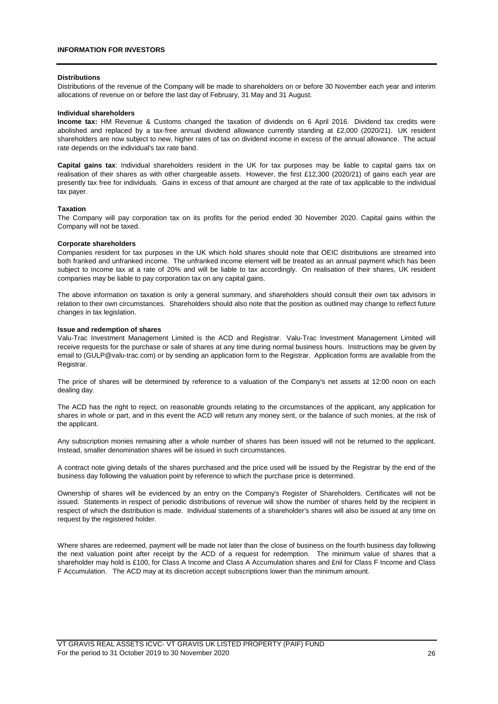#### **Distributions**

Distributions of the revenue of the Company will be made to shareholders on or before 30 November each year and interim allocations of revenue on or before the last day of February, 31 May and 31 August.

### **Individual shareholders**

**Income tax:** HM Revenue & Customs changed the taxation of dividends on 6 April 2016. Dividend tax credits were abolished and replaced by a tax-free annual dividend allowance currently standing at £2,000 (2020/21). UK resident shareholders are now subject to new, higher rates of tax on dividend income in excess of the annual allowance. The actual rate depends on the individual's tax rate band.

**Capital gains tax**: Individual shareholders resident in the UK for tax purposes may be liable to capital gains tax on realisation of their shares as with other chargeable assets. However, the first £12,300 (2020/21) of gains each year are presently tax free for individuals. Gains in excess of that amount are charged at the rate of tax applicable to the individual tax payer.

#### **Taxation**

The Company will pay corporation tax on its profits for the period ended 30 November 2020. Capital gains within the Company will not be taxed.

### **Corporate shareholders**

Companies resident for tax purposes in the UK which hold shares should note that OEIC distributions are streamed into both franked and unfranked income. The unfranked income element will be treated as an annual payment which has been subject to income tax at a rate of 20% and will be liable to tax accordingly. On realisation of their shares, UK resident companies may be liable to pay corporation tax on any capital gains.

The above information on taxation is only a general summary, and shareholders should consult their own tax advisors in relation to their own circumstances. Shareholders should also note that the position as outlined may change to reflect future changes in tax legislation.

#### **Issue and redemption of shares**

Valu-Trac Investment Management Limited is the ACD and Registrar. Valu-Trac Investment Management Limited will receive requests for the purchase or sale of shares at any time during normal business hours. Instructions may be given by email to (GULP@valu-trac.com) or by sending an application form to the Registrar. Application forms are available from the Registrar.

The price of shares will be determined by reference to a valuation of the Company's net assets at 12:00 noon on each dealing day.

The ACD has the right to reject, on reasonable grounds relating to the circumstances of the applicant, any application for shares in whole or part, and in this event the ACD will return any money sent, or the balance of such monies, at the risk of the applicant.

Any subscription monies remaining after a whole number of shares has been issued will not be returned to the applicant. Instead, smaller denomination shares will be issued in such circumstances.

A contract note giving details of the shares purchased and the price used will be issued by the Registrar by the end of the business day following the valuation point by reference to which the purchase price is determined.

Ownership of shares will be evidenced by an entry on the Company's Register of Shareholders. Certificates will not be issued. Statements in respect of periodic distributions of revenue will show the number of shares held by the recipient in respect of which the distribution is made. Individual statements of a shareholder's shares will also be issued at any time on request by the registered holder.

Where shares are redeemed, payment will be made not later than the close of business on the fourth business day following the next valuation point after receipt by the ACD of a request for redemption. The minimum value of shares that a shareholder may hold is £100, for Class A Income and Class A Accumulation shares and £nil for Class F Income and Class F Accumulation. The ACD may at its discretion accept subscriptions lower than the minimum amount.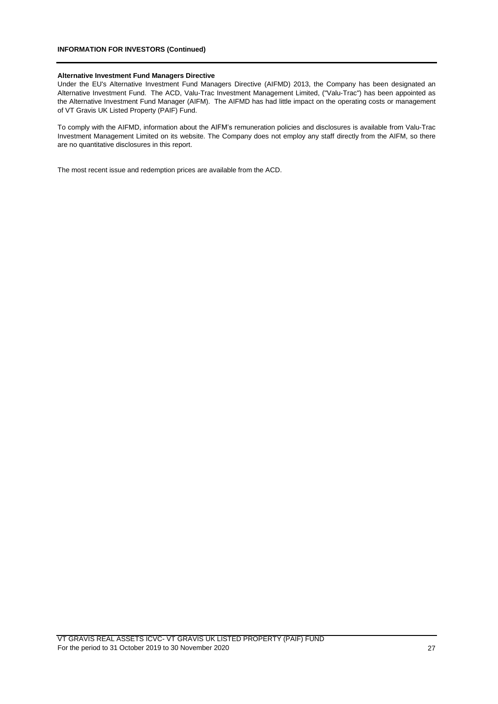### **Alternative Investment Fund Managers Directive**

Under the EU's Alternative Investment Fund Managers Directive (AIFMD) 2013, the Company has been designated an Alternative Investment Fund. The ACD, Valu-Trac Investment Management Limited, ("Valu-Trac") has been appointed as the Alternative Investment Fund Manager (AIFM). The AIFMD has had little impact on the operating costs or management of VT Gravis UK Listed Property (PAIF) Fund.

To comply with the AIFMD, information about the AIFM's remuneration policies and disclosures is available from Valu-Trac Investment Management Limited on its website. The Company does not employ any staff directly from the AIFM, so there are no quantitative disclosures in this report.

The most recent issue and redemption prices are available from the ACD.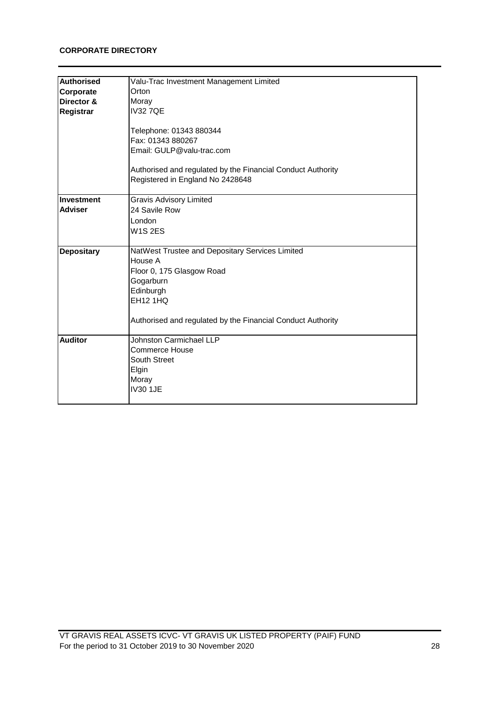# **CORPORATE DIRECTORY**

| <b>Authorised</b> | Valu-Trac Investment Management Limited                     |  |  |
|-------------------|-------------------------------------------------------------|--|--|
| Corporate         | Orton                                                       |  |  |
| Director &        | Moray                                                       |  |  |
| Registrar         | <b>IV327OE</b>                                              |  |  |
|                   |                                                             |  |  |
|                   | Telephone: 01343 880344                                     |  |  |
|                   | Fax: 01343 880267                                           |  |  |
|                   | Email: GULP@valu-trac.com                                   |  |  |
|                   |                                                             |  |  |
|                   | Authorised and regulated by the Financial Conduct Authority |  |  |
|                   | Registered in England No 2428648                            |  |  |
|                   |                                                             |  |  |
| Investment        | <b>Gravis Advisory Limited</b>                              |  |  |
| <b>Adviser</b>    | 24 Savile Row                                               |  |  |
|                   | London                                                      |  |  |
|                   | <b>W1S2ES</b>                                               |  |  |
|                   |                                                             |  |  |
| <b>Depositary</b> | NatWest Trustee and Depositary Services Limited             |  |  |
|                   | House A                                                     |  |  |
|                   | Floor 0, 175 Glasgow Road                                   |  |  |
|                   | Gogarburn                                                   |  |  |
|                   | Edinburgh                                                   |  |  |
|                   | <b>EH12 1HQ</b>                                             |  |  |
|                   |                                                             |  |  |
|                   | Authorised and regulated by the Financial Conduct Authority |  |  |
|                   |                                                             |  |  |
| <b>Auditor</b>    | Johnston Carmichael LLP                                     |  |  |
|                   | Commerce House                                              |  |  |
|                   | South Street                                                |  |  |
|                   | Elgin                                                       |  |  |
|                   | Moray                                                       |  |  |
|                   |                                                             |  |  |
|                   | <b>IV30 1JE</b>                                             |  |  |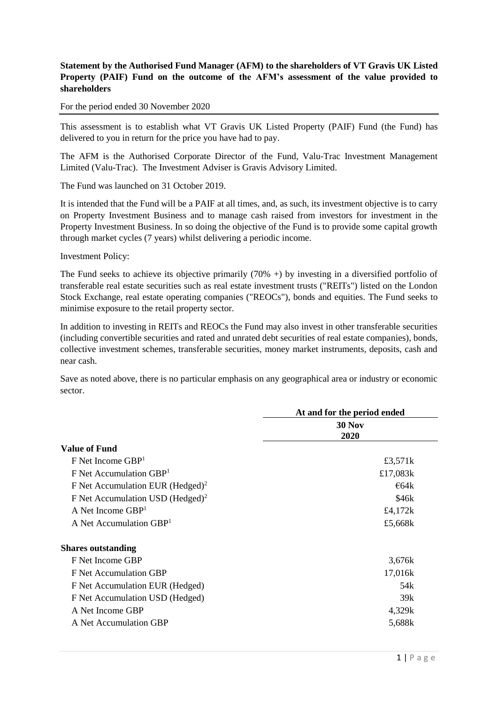# **Statement by the Authorised Fund Manager (AFM) to the shareholders of VT Gravis UK Listed Property (PAIF) Fund on the outcome of the AFM's assessment of the value provided to shareholders**

For the period ended 30 November 2020

This assessment is to establish what VT Gravis UK Listed Property (PAIF) Fund (the Fund) has delivered to you in return for the price you have had to pay.

The AFM is the Authorised Corporate Director of the Fund, Valu-Trac Investment Management Limited (Valu-Trac). The Investment Adviser is Gravis Advisory Limited.

The Fund was launched on 31 October 2019.

It is intended that the Fund will be a PAIF at all times, and, as such, its investment objective is to carry on Property Investment Business and to manage cash raised from investors for investment in the Property Investment Business. In so doing the objective of the Fund is to provide some capital growth through market cycles (7 years) whilst delivering a periodic income.

Investment Policy:

The Fund seeks to achieve its objective primarily  $(70\% +)$  by investing in a diversified portfolio of transferable real estate securities such as real estate investment trusts ("REITs") listed on the London Stock Exchange, real estate operating companies ("REOCs"), bonds and equities. The Fund seeks to minimise exposure to the retail property sector.

In addition to investing in REITs and REOCs the Fund may also invest in other transferable securities (including convertible securities and rated and unrated debt securities of real estate companies), bonds, collective investment schemes, transferable securities, money market instruments, deposits, cash and near cash.

Save as noted above, there is no particular emphasis on any geographical area or industry or economic sector.

|                                              | At and for the period ended |  |
|----------------------------------------------|-----------------------------|--|
|                                              | <b>30 Nov</b><br>2020       |  |
| <b>Value of Fund</b>                         |                             |  |
| $F$ Net Income GBP <sup>1</sup>              | £3,571 $k$                  |  |
| $F$ Net Accumulation GBP <sup>1</sup>        | £17,083 $k$                 |  |
| F Net Accumulation EUR (Hedged) <sup>2</sup> | $\epsilon$ 64k              |  |
| F Net Accumulation USD (Hedged) <sup>2</sup> | \$46k                       |  |
| A Net Income $GBP1$                          | £4,172 $k$                  |  |
| A Net Accumulation $GBP1$                    | £5,668k                     |  |
| <b>Shares outstanding</b>                    |                             |  |
| F Net Income GBP                             | 3,676k                      |  |
| F Net Accumulation GBP                       | 17,016k                     |  |
| F Net Accumulation EUR (Hedged)              | 54k                         |  |
| F Net Accumulation USD (Hedged)              | 39k                         |  |
| A Net Income GBP                             | 4,329k                      |  |
| A Net Accumulation GBP                       | 5,688k                      |  |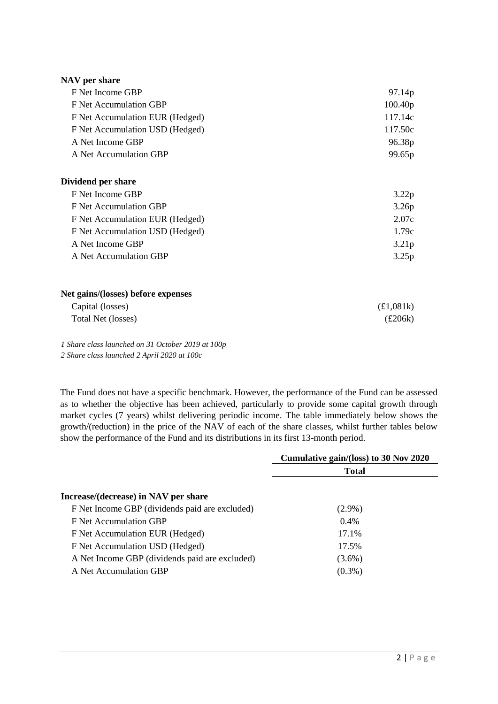| NAV per share                      |                     |  |
|------------------------------------|---------------------|--|
| F Net Income GBP                   | 97.14p              |  |
| F Net Accumulation GBP             | 100.40 <sub>p</sub> |  |
| F Net Accumulation EUR (Hedged)    | 117.14c             |  |
| F Net Accumulation USD (Hedged)    | 117.50c             |  |
| A Net Income GBP                   | 96.38p              |  |
| A Net Accumulation GBP             | 99.65p              |  |
| Dividend per share                 |                     |  |
| F Net Income GBP                   | 3.22p               |  |
| F Net Accumulation GBP             | 3.26p               |  |
| F Net Accumulation EUR (Hedged)    | 2.07c               |  |
| F Net Accumulation USD (Hedged)    | 1.79c               |  |
| A Net Income GBP                   | 3.21p               |  |
| A Net Accumulation GBP             | 3.25p               |  |
| Net gains/(losses) before expenses |                     |  |
| Capital (losses)                   | (£1,081k)           |  |
| Total Net (losses)                 | $(\pounds 206k)$    |  |

*1 Share class launched on 31 October 2019 at 100p 2 Share class launched 2 April 2020 at 100c*

The Fund does not have a specific benchmark. However, the performance of the Fund can be assessed as to whether the objective has been achieved, particularly to provide some capital growth through market cycles (7 years) whilst delivering periodic income. The table immediately below shows the growth/(reduction) in the price of the NAV of each of the share classes, whilst further tables below show the performance of the Fund and its distributions in its first 13-month period.

|                                                | Cumulative gain/(loss) to 30 Nov 2020 |  |
|------------------------------------------------|---------------------------------------|--|
|                                                | <b>Total</b>                          |  |
|                                                |                                       |  |
| Increase/(decrease) in NAV per share           |                                       |  |
| F Net Income GBP (dividends paid are excluded) | $(2.9\%)$                             |  |
| F Net Accumulation GBP                         | $0.4\%$                               |  |
| F Net Accumulation EUR (Hedged)                | 17.1%                                 |  |
| F Net Accumulation USD (Hedged)                | 17.5%                                 |  |
| A Net Income GBP (dividends paid are excluded) | $(3.6\%)$                             |  |
| A Net Accumulation GBP                         | $(0.3\%)$                             |  |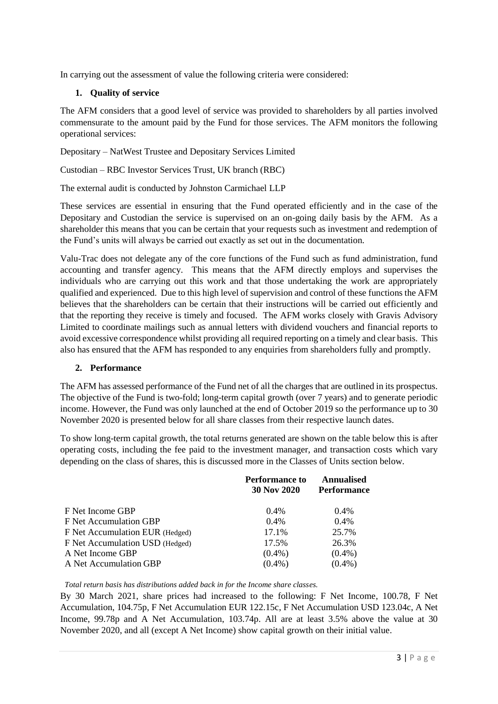In carrying out the assessment of value the following criteria were considered:

# **1. Quality of service**

The AFM considers that a good level of service was provided to shareholders by all parties involved commensurate to the amount paid by the Fund for those services. The AFM monitors the following operational services:

Depositary – NatWest Trustee and Depositary Services Limited

Custodian – RBC Investor Services Trust, UK branch (RBC)

The external audit is conducted by Johnston Carmichael LLP

These services are essential in ensuring that the Fund operated efficiently and in the case of the Depositary and Custodian the service is supervised on an on-going daily basis by the AFM. As a shareholder this means that you can be certain that your requests such as investment and redemption of the Fund's units will always be carried out exactly as set out in the documentation.

Valu-Trac does not delegate any of the core functions of the Fund such as fund administration, fund accounting and transfer agency. This means that the AFM directly employs and supervises the individuals who are carrying out this work and that those undertaking the work are appropriately qualified and experienced. Due to this high level of supervision and control of these functions the AFM believes that the shareholders can be certain that their instructions will be carried out efficiently and that the reporting they receive is timely and focused. The AFM works closely with Gravis Advisory Limited to coordinate mailings such as annual letters with dividend vouchers and financial reports to avoid excessive correspondence whilst providing all required reporting on a timely and clear basis. This also has ensured that the AFM has responded to any enquiries from shareholders fully and promptly.

# **2. Performance**

The AFM has assessed performance of the Fund net of all the charges that are outlined in its prospectus. The objective of the Fund is two-fold; long-term capital growth (over 7 years) and to generate periodic income. However, the Fund was only launched at the end of October 2019 so the performance up to 30 November 2020 is presented below for all share classes from their respective launch dates.

To show long-term capital growth, the total returns generated are shown on the table below this is after operating costs, including the fee paid to the investment manager, and transaction costs which vary depending on the class of shares, this is discussed more in the Classes of Units section below.

|                                 | <b>Performance to</b><br>30 Nov 2020 | <b>Annualised</b><br><b>Performance</b> |
|---------------------------------|--------------------------------------|-----------------------------------------|
| F Net Income GBP                | $0.4\%$                              | $0.4\%$                                 |
| F Net Accumulation GBP          | $0.4\%$                              | $0.4\%$                                 |
| F Net Accumulation EUR (Hedged) | 17.1%                                | 25.7%                                   |
| F Net Accumulation USD (Hedged) | 17.5%                                | 26.3%                                   |
| A Net Income GBP                | $(0.4\%)$                            | $(0.4\%)$                               |
| A Net Accumulation GBP          | $(0.4\%)$                            | $(0.4\%)$                               |

*Total return basis has distributions added back in for the Income share classes.*

By 30 March 2021, share prices had increased to the following: F Net Income, 100.78, F Net Accumulation, 104.75p, F Net Accumulation EUR 122.15c, F Net Accumulation USD 123.04c, A Net Income, 99.78p and A Net Accumulation, 103.74p. All are at least 3.5% above the value at 30 November 2020, and all (except A Net Income) show capital growth on their initial value.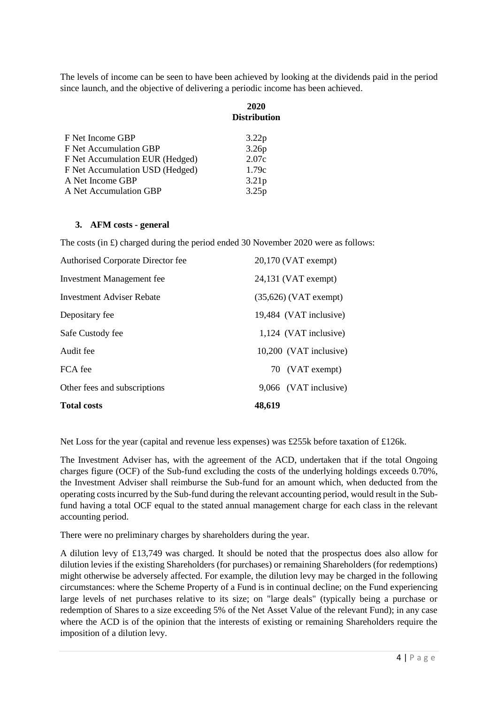The levels of income can be seen to have been achieved by looking at the dividends paid in the period since launch, and the objective of delivering a periodic income has been achieved.

| <b>Distribution</b>             |       |
|---------------------------------|-------|
| F Net Income GBP                | 3.22p |
| F Net Accumulation GBP          | 3.26p |
| F Net Accumulation EUR (Hedged) | 2.07c |
| F Net Accumulation USD (Hedged) | 1.79c |
| A Net Income GBP                | 3.21p |
| A Net Accumulation GBP          | 3.25p |

# **3. AFM costs - general**

The costs (in  $\pounds$ ) charged during the period ended 30 November 2020 were as follows:

| <b>Total costs</b>                | 48,619                  |
|-----------------------------------|-------------------------|
| Other fees and subscriptions      | 9,066 (VAT inclusive)   |
| FCA fee                           | 70 (VAT exempt)         |
| Audit fee                         | 10,200 (VAT inclusive)  |
| Safe Custody fee                  | 1,124 (VAT inclusive)   |
| Depositary fee                    | 19,484 (VAT inclusive)  |
| Investment Adviser Rebate         | $(35,626)$ (VAT exempt) |
| Investment Management fee         | $24,131$ (VAT exempt)   |
| Authorised Corporate Director fee | $20,170$ (VAT exempt)   |

Net Loss for the year (capital and revenue less expenses) was £255k before taxation of £126k.

The Investment Adviser has, with the agreement of the ACD, undertaken that if the total Ongoing charges figure (OCF) of the Sub-fund excluding the costs of the underlying holdings exceeds 0.70%, the Investment Adviser shall reimburse the Sub-fund for an amount which, when deducted from the operating costs incurred by the Sub-fund during the relevant accounting period, would result in the Subfund having a total OCF equal to the stated annual management charge for each class in the relevant accounting period.

There were no preliminary charges by shareholders during the year.

A dilution levy of £13,749 was charged. It should be noted that the prospectus does also allow for dilution levies if the existing Shareholders (for purchases) or remaining Shareholders (for redemptions) might otherwise be adversely affected. For example, the dilution levy may be charged in the following circumstances: where the Scheme Property of a Fund is in continual decline; on the Fund experiencing large levels of net purchases relative to its size; on "large deals" (typically being a purchase or redemption of Shares to a size exceeding 5% of the Net Asset Value of the relevant Fund); in any case where the ACD is of the opinion that the interests of existing or remaining Shareholders require the imposition of a dilution levy.